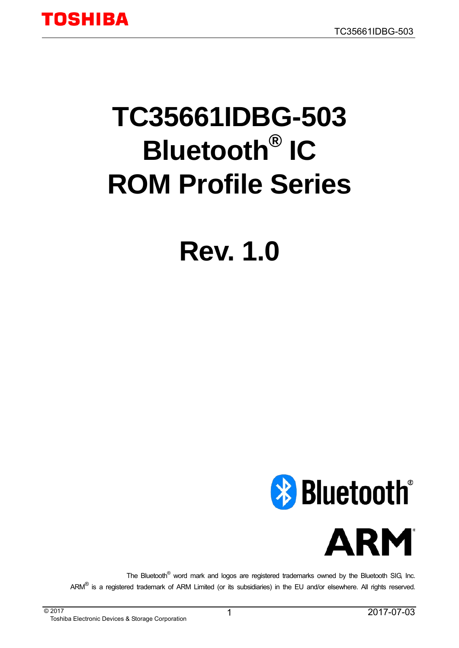# **TC35661IDBG-503 Bluetooth® IC ROM Profile Series**

# **Rev. 1.0**



The Bluetooth<sup>®</sup> word mark and logos are registered trademarks owned by the Bluetooth SIG, Inc. ARM<sup>®</sup> is a registered trademark of ARM Limited (or its subsidiaries) in the EU and/or elsewhere. All rights reserved.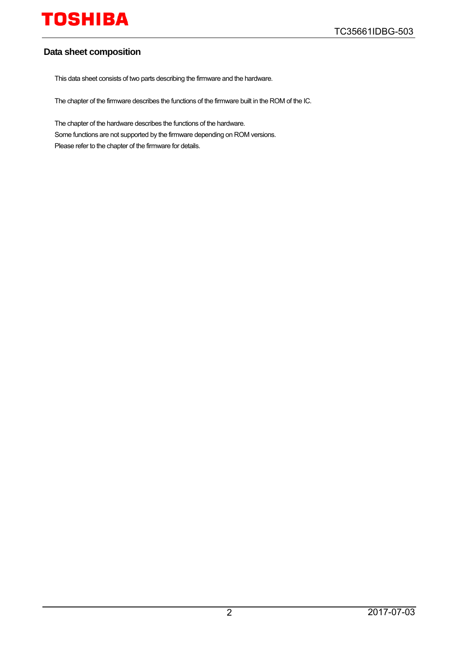#### **Data sheet composition**

This data sheet consists of two parts describing the firmware and the hardware.

The chapter of the firmware describes the functions of the firmware built in the ROM of the IC.

The chapter of the hardware describes the functions of the hardware. Some functions are not supported by the firmware depending on ROM versions. Please refer to the chapter of the firmware for details.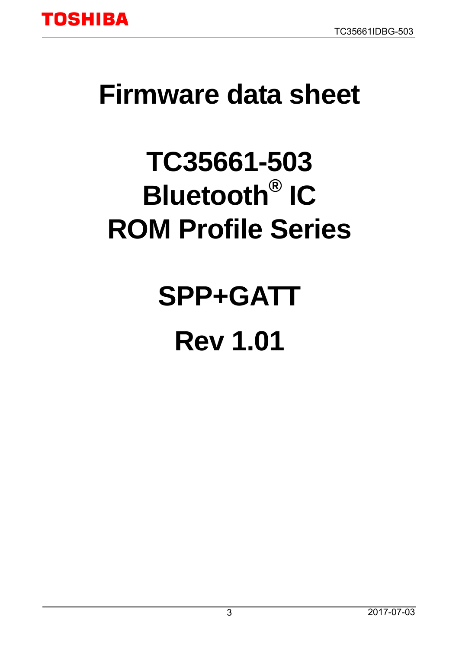

# <span id="page-2-0"></span>**Firmware data sheet**

# **TC35661-503 Bluetooth® IC ROM Profile Series**

**SPP+GATT Rev 1.01**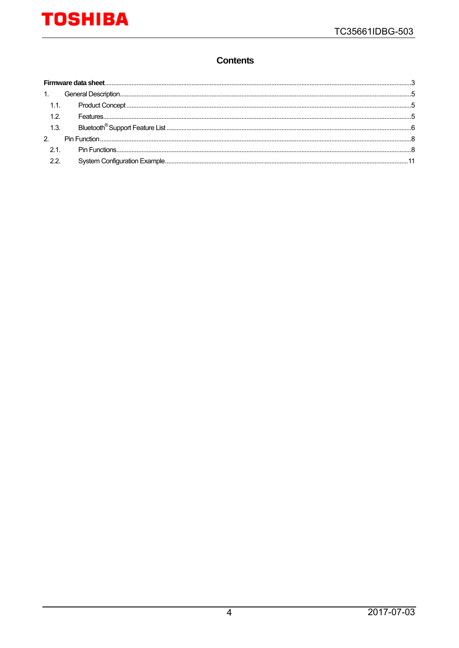#### **Contents**

| 1.1.        |  |
|-------------|--|
| 12          |  |
| 1.3.        |  |
| $2^{\circ}$ |  |
| 2.1.        |  |
| 22          |  |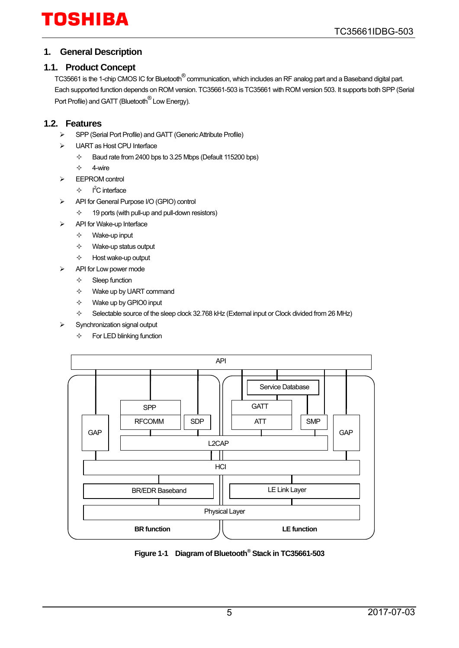#### <span id="page-4-0"></span>**1. General Description**

#### <span id="page-4-1"></span>**1.1. Product Concept**

TC35661 is the 1-chip CMOS IC for Bluetooth® communication, which includes an RF analog part and a Baseband digital part. Each supported function depends on ROM version. TC35661-503 is TC35661 with ROM version 503. It supports both SPP (Serial Port Profile) and GATT (Bluetooth<sup>®</sup> Low Energy).

#### <span id="page-4-2"></span>**1.2. Features**

- SPP (Serial Port Profile) and GATT (Generic Attribute Profile)
- > UART as Host CPU Interface
	- $\div$  Baud rate from 2400 bps to 3.25 Mbps (Default 115200 bps)
	- $\Leftrightarrow$  4-wire
- EEPROM control
	- $\rightsquigarrow$  $I<sup>2</sup>C$  interface
- API for General Purpose I/O (GPIO) control
	- $\div$  19 ports (with pull-up and pull-down resistors)
- API for Wake-up Interface
	- $\Leftrightarrow$  Wake-up input
	- $\Leftrightarrow$  Wake-up status output
	- $\Leftrightarrow$  Host wake-up output
	- API for Low power mode
		- $\Leftrightarrow$  Sleep function
		- $\Leftrightarrow$  Wake up by UART command
		- $\Leftrightarrow$  Wake up by GPIO0 input
		- $\diamond$  Selectable source of the sleep clock 32.768 kHz (External input or Clock divided from 26 MHz)
- Synchronization signal output
	- $\Leftrightarrow$  For LED blinking function



**Figure 1-1 Diagram of Bluetooth® Stack in TC35661-503**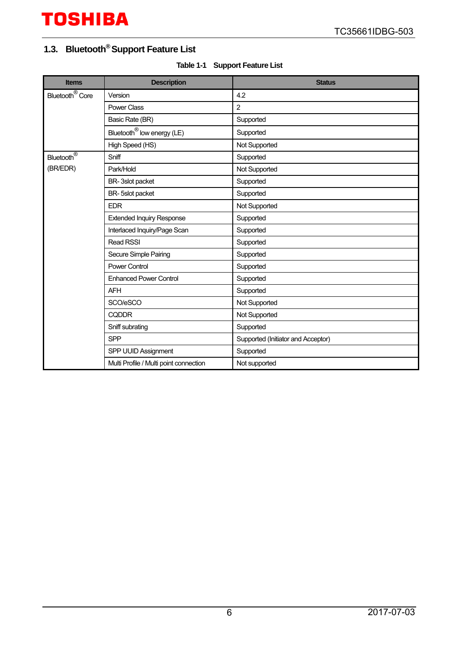### <span id="page-5-0"></span>**1.3. Bluetooth® Support Feature List**

|  | Table 1-1 Support Feature List |
|--|--------------------------------|
|--|--------------------------------|

| <b>Items</b>                 | <b>Description</b>                     | <b>Status</b>                      |
|------------------------------|----------------------------------------|------------------------------------|
| Bluetooth <sup>®</sup> Core  | Version                                | 4.2                                |
|                              | <b>Power Class</b>                     | $\overline{2}$                     |
|                              | Basic Rate (BR)                        | Supported                          |
|                              | Bluetooth <sup>®</sup> low energy (LE) | Supported                          |
|                              | High Speed (HS)                        | Not Supported                      |
| Bluetooth $\overline{\circ}$ | Sniff                                  | Supported                          |
| (BR/EDR)                     | Park/Hold                              | Not Supported                      |
|                              | BR-3slot packet                        | Supported                          |
|                              | BR-5slot packet                        | Supported                          |
|                              | <b>EDR</b>                             | Not Supported                      |
|                              | <b>Extended Inquiry Response</b>       | Supported                          |
|                              | Interlaced Inquiry/Page Scan           | Supported                          |
|                              | <b>Read RSSI</b>                       | Supported                          |
|                              | Secure Simple Pairing                  | Supported                          |
|                              | <b>Power Control</b>                   | Supported                          |
|                              | <b>Enhanced Power Control</b>          | Supported                          |
|                              | <b>AFH</b>                             | Supported                          |
|                              | SCO/eSCO                               | Not Supported                      |
|                              | <b>CQDDR</b>                           | Not Supported                      |
|                              | Sniff subrating                        | Supported                          |
|                              | <b>SPP</b>                             | Supported (Initiator and Acceptor) |
|                              | SPP UUID Assignment                    | Supported                          |
|                              | Multi Profile / Multi point connection | Not supported                      |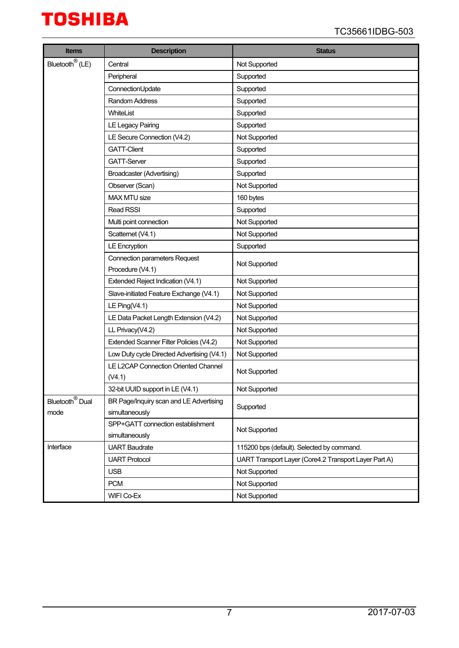| <b>Items</b>                | <b>Description</b>                                       | <b>Status</b>                                         |
|-----------------------------|----------------------------------------------------------|-------------------------------------------------------|
| Bluetooth <sup>®</sup> (LE) | Central                                                  | Not Supported                                         |
|                             | Peripheral                                               | Supported                                             |
|                             | ConnectionUpdate                                         | Supported                                             |
|                             | Random Address                                           | Supported                                             |
|                             | WhiteList                                                | Supported                                             |
|                             | LE Legacy Pairing                                        | Supported                                             |
|                             | LE Secure Connection (V4.2)                              | Not Supported                                         |
|                             | <b>GATT-Client</b>                                       | Supported                                             |
|                             | <b>GATT-Server</b>                                       | Supported                                             |
|                             | Broadcaster (Advertising)                                | Supported                                             |
|                             | Observer (Scan)                                          | Not Supported                                         |
|                             | MAX MTU size                                             | 160 bytes                                             |
|                             | Read RSSI                                                | Supported                                             |
|                             | Multi point connection                                   | Not Supported                                         |
|                             | Scatternet (V4.1)                                        | Not Supported                                         |
|                             | <b>LE Encryption</b>                                     | Supported                                             |
|                             | <b>Connection parameters Request</b><br>Procedure (V4.1) | Not Supported                                         |
|                             | Extended Reject Indication (V4.1)                        | Not Supported                                         |
|                             | Slave-initiated Feature Exchange (V4.1)                  | Not Supported                                         |
|                             | LE Ping $(V4.1)$                                         | Not Supported                                         |
|                             | LE Data Packet Length Extension (V4.2)                   | Not Supported                                         |
|                             | LL Privacy(V4.2)                                         | Not Supported                                         |
|                             | Extended Scanner Filter Policies (V4.2)                  | Not Supported                                         |
|                             | Low Duty cycle Directed Advertising (V4.1)               | Not Supported                                         |
|                             | LE L2CAP Connection Oriented Channel                     |                                                       |
|                             | (V4.1)                                                   | Not Supported                                         |
|                             | 32-bit UUID support in LE (V4.1)                         | Not Supported                                         |
| Bluetooth <sup>®</sup> Dual | BR Page/Inquiry scan and LE Advertising                  | Supported                                             |
| mode                        | simultaneously                                           |                                                       |
|                             | SPP+GATT connection establishment                        | Not Supported                                         |
|                             | simultaneously                                           |                                                       |
| Interface                   | <b>UART Baudrate</b>                                     | 115200 bps (default). Selected by command.            |
|                             | <b>UART Protocol</b>                                     | UART Transport Layer (Core4.2 Transport Layer Part A) |
|                             | <b>USB</b>                                               | Not Supported                                         |
|                             | <b>PCM</b>                                               | Not Supported                                         |
|                             | WIFI Co-Ex                                               | Not Supported                                         |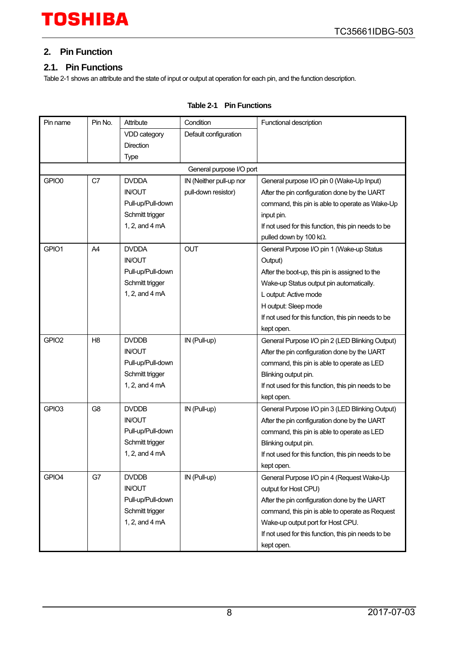#### <span id="page-7-0"></span>**2. Pin Function**

#### <span id="page-7-1"></span>**2.1. Pin Functions**

[Table 2-1](#page-7-2) shows an attribute and the state of input or output at operation for each pin, and the function description.

<span id="page-7-2"></span>

| Pin name          | Pin No.        | Attribute                | Condition                | Functional description                              |
|-------------------|----------------|--------------------------|--------------------------|-----------------------------------------------------|
|                   |                | VDD category             | Default configuration    |                                                     |
|                   |                | Direction                |                          |                                                     |
|                   |                | <b>Type</b>              |                          |                                                     |
|                   |                |                          | General purpose I/O port |                                                     |
| GPIO0             | C7             | <b>DVDDA</b>             | IN (Neither pull-up nor  | General purpose I/O pin 0 (Wake-Up Input)           |
|                   |                | <b>IN/OUT</b>            | pull-down resistor)      | After the pin configuration done by the UART        |
|                   |                | Pull-up/Pull-down        |                          | command, this pin is able to operate as Wake-Up     |
|                   |                | Schmitt trigger          |                          | input pin.                                          |
|                   |                | 1, 2, and 4 mA           |                          | If not used for this function, this pin needs to be |
|                   |                |                          |                          | pulled down by 100 kΩ.                              |
| GPIO1             | A4             | <b>DVDDA</b>             | <b>OUT</b>               | General Purpose I/O pin 1 (Wake-up Status           |
|                   |                | <b>IN/OUT</b>            |                          | Output)                                             |
|                   |                | Pull-up/Pull-down        |                          | After the boot-up, this pin is assigned to the      |
|                   |                | Schmitt trigger          |                          | Wake-up Status output pin automatically.            |
|                   |                | 1, 2, and $4 \text{ mA}$ |                          | L output: Active mode                               |
|                   |                |                          |                          | H output: Sleep mode                                |
|                   |                |                          |                          | If not used for this function, this pin needs to be |
|                   |                |                          |                          | kept open.                                          |
| GPIO <sub>2</sub> | H <sub>8</sub> | <b>DVDDB</b>             | IN (Pull-up)             | General Purpose I/O pin 2 (LED Blinking Output)     |
|                   |                | <b>IN/OUT</b>            |                          | After the pin configuration done by the UART        |
|                   |                | Pull-up/Pull-down        |                          | command, this pin is able to operate as LED         |
|                   |                | Schmitt trigger          |                          | Blinking output pin.                                |
|                   |                | 1, 2, and $4 \text{ mA}$ |                          | If not used for this function, this pin needs to be |
|                   |                |                          |                          | kept open.                                          |
| GPIO <sub>3</sub> | G <sub>8</sub> | <b>DVDDB</b>             | IN (Pull-up)             | General Purpose I/O pin 3 (LED Blinking Output)     |
|                   |                | <b>IN/OUT</b>            |                          | After the pin configuration done by the UART        |
|                   |                | Pull-up/Pull-down        |                          | command, this pin is able to operate as LED         |
|                   |                | Schmitt trigger          |                          | Blinking output pin.                                |
|                   |                | 1, 2, and 4 mA           |                          | If not used for this function, this pin needs to be |
|                   |                |                          |                          | kept open.                                          |
| GPIO4             | G7             | <b>DVDDB</b>             | IN (Pull-up)             | General Purpose I/O pin 4 (Request Wake-Up          |
|                   |                | <b>IN/OUT</b>            |                          | output for Host CPU)                                |
|                   |                | Pull-up/Pull-down        |                          | After the pin configuration done by the UART        |
|                   |                | Schmitt trigger          |                          | command, this pin is able to operate as Request     |
|                   |                | 1, 2, and $4 \text{ mA}$ |                          | Wake-up output port for Host CPU.                   |
|                   |                |                          |                          | If not used for this function, this pin needs to be |
|                   |                |                          |                          | kept open.                                          |

#### **Table 2-1 Pin Functions**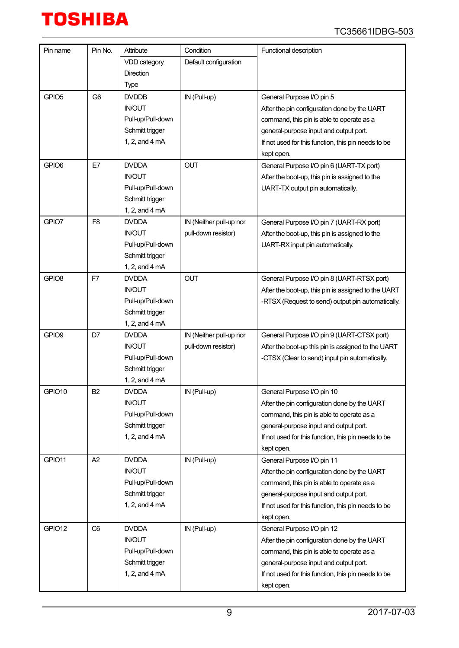

| Pin name          | Pin No.        | Attribute                | Condition               | Functional description                              |
|-------------------|----------------|--------------------------|-------------------------|-----------------------------------------------------|
|                   |                | VDD category             | Default configuration   |                                                     |
|                   |                | <b>Direction</b>         |                         |                                                     |
|                   |                | <b>Type</b>              |                         |                                                     |
| GPIO <sub>5</sub> | G <sub>6</sub> | <b>DVDDB</b>             | IN (Pull-up)            | General Purpose I/O pin 5                           |
|                   |                | <b>IN/OUT</b>            |                         | After the pin configuration done by the UART        |
|                   |                | Pull-up/Pull-down        |                         | command, this pin is able to operate as a           |
|                   |                | Schmitt trigger          |                         | general-purpose input and output port.              |
|                   |                | 1, 2, and 4 mA           |                         | If not used for this function, this pin needs to be |
|                   |                |                          |                         | kept open.                                          |
| GPIO6             | E7             | <b>DVDDA</b>             | <b>OUT</b>              | General Purpose I/O pin 6 (UART-TX port)            |
|                   |                | <b>IN/OUT</b>            |                         | After the boot-up, this pin is assigned to the      |
|                   |                | Pull-up/Pull-down        |                         | UART-TX output pin automatically.                   |
|                   |                | Schmitt trigger          |                         |                                                     |
|                   |                | 1, 2, and 4 mA           |                         |                                                     |
| GPIO7             | F <sub>8</sub> | <b>DVDDA</b>             | IN (Neither pull-up nor | General Purpose I/O pin 7 (UART-RX port)            |
|                   |                | <b>IN/OUT</b>            | pull-down resistor)     | After the boot-up, this pin is assigned to the      |
|                   |                | Pull-up/Pull-down        |                         | UART-RX input pin automatically.                    |
|                   |                | Schmitt trigger          |                         |                                                     |
|                   |                | 1, 2, and 4 mA           |                         |                                                     |
| GPIO <sub>8</sub> | F7             | <b>DVDDA</b>             | <b>OUT</b>              | General Purpose I/O pin 8 (UART-RTSX port)          |
|                   |                | <b>IN/OUT</b>            |                         | After the boot-up, this pin is assigned to the UART |
|                   |                | Pull-up/Pull-down        |                         | -RTSX (Request to send) output pin automatically.   |
|                   |                | Schmitt trigger          |                         |                                                     |
|                   |                | 1, 2, and 4 mA           |                         |                                                     |
| GPIO9             | D7             | <b>DVDDA</b>             | IN (Neither pull-up nor | General Purpose I/O pin 9 (UART-CTSX port)          |
|                   |                | <b>IN/OUT</b>            | pull-down resistor)     | After the boot-up this pin is assigned to the UART  |
|                   |                | Pull-up/Pull-down        |                         | -CTSX (Clear to send) input pin automatically.      |
|                   |                | Schmitt trigger          |                         |                                                     |
|                   |                | 1, 2, and 4 mA           |                         |                                                     |
| GPIO10            | B <sub>2</sub> | <b>DVDDA</b>             | IN (Pull-up)            | General Purpose I/O pin 10                          |
|                   |                | <b>IN/OUT</b>            |                         | After the pin configuration done by the UART        |
|                   |                | Pull-up/Pull-down        |                         | command, this pin is able to operate as a           |
|                   |                | Schmitt trigger          |                         | general-purpose input and output port.              |
|                   |                | 1, 2, and 4 mA           |                         | If not used for this function, this pin needs to be |
|                   |                |                          |                         | kept open.                                          |
| GPIO11            | A2             | <b>DVDDA</b>             | IN (Pull-up)            | General Purpose I/O pin 11                          |
|                   |                | <b>IN/OUT</b>            |                         | After the pin configuration done by the UART        |
|                   |                | Pull-up/Pull-down        |                         | command, this pin is able to operate as a           |
|                   |                | Schmitt trigger          |                         | general-purpose input and output port.              |
|                   |                | 1, 2, and 4 mA           |                         | If not used for this function, this pin needs to be |
|                   |                |                          |                         | kept open.                                          |
| GPIO12            | C <sub>6</sub> | <b>DVDDA</b>             | IN (Pull-up)            | General Purpose I/O pin 12                          |
|                   |                | <b>IN/OUT</b>            |                         | After the pin configuration done by the UART        |
|                   |                | Pull-up/Pull-down        |                         | command, this pin is able to operate as a           |
|                   |                | Schmitt trigger          |                         | general-purpose input and output port.              |
|                   |                | 1, 2, and $4 \text{ mA}$ |                         | If not used for this function, this pin needs to be |
|                   |                |                          |                         | kept open.                                          |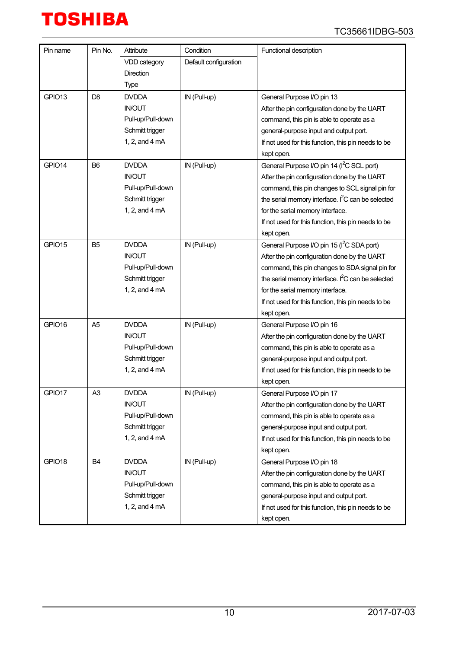| Pin name | Pin No.        | Attribute         | Condition             | Functional description                                 |
|----------|----------------|-------------------|-----------------------|--------------------------------------------------------|
|          |                | VDD category      | Default configuration |                                                        |
|          |                | <b>Direction</b>  |                       |                                                        |
|          |                | Type              |                       |                                                        |
| GPIO13   | D <sub>8</sub> | <b>DVDDA</b>      | IN (Pull-up)          | General Purpose I/O pin 13                             |
|          |                | <b>IN/OUT</b>     |                       | After the pin configuration done by the UART           |
|          |                | Pull-up/Pull-down |                       | command, this pin is able to operate as a              |
|          |                | Schmitt trigger   |                       | general-purpose input and output port.                 |
|          |                | 1, 2, and 4 mA    |                       | If not used for this function, this pin needs to be    |
|          |                |                   |                       | kept open.                                             |
| GPIO14   | B <sub>6</sub> | <b>DVDDA</b>      | IN (Pull-up)          | General Purpose I/O pin 14 (I <sup>2</sup> C SCL port) |
|          |                | <b>IN/OUT</b>     |                       | After the pin configuration done by the UART           |
|          |                | Pull-up/Pull-down |                       | command, this pin changes to SCL signal pin for        |
|          |                | Schmitt trigger   |                       | the serial memory interface. $I^2C$ can be selected    |
|          |                | 1, 2, and 4 mA    |                       | for the serial memory interface.                       |
|          |                |                   |                       | If not used for this function, this pin needs to be    |
|          |                |                   |                       | kept open.                                             |
| GPIO15   | B <sub>5</sub> | <b>DVDDA</b>      | IN (Pull-up)          | General Purpose I/O pin 15 (I <sup>2</sup> C SDA port) |
|          |                | <b>IN/OUT</b>     |                       | After the pin configuration done by the UART           |
|          |                | Pull-up/Pull-down |                       | command, this pin changes to SDA signal pin for        |
|          |                | Schmitt trigger   |                       | the serial memory interface. $I^2C$ can be selected    |
|          |                | 1, 2, and 4 mA    |                       | for the serial memory interface.                       |
|          |                |                   |                       | If not used for this function, this pin needs to be    |
|          |                |                   |                       | kept open.                                             |
| GPIO16   | A <sub>5</sub> | <b>DVDDA</b>      | IN (Pull-up)          | General Purpose I/O pin 16                             |
|          |                | <b>IN/OUT</b>     |                       | After the pin configuration done by the UART           |
|          |                | Pull-up/Pull-down |                       | command, this pin is able to operate as a              |
|          |                | Schmitt trigger   |                       | general-purpose input and output port.                 |
|          |                | 1, 2, and 4 mA    |                       | If not used for this function, this pin needs to be    |
|          |                |                   |                       | kept open.                                             |
| GPIO17   | A <sub>3</sub> | <b>DVDDA</b>      | IN (Pull-up)          | General Purpose I/O pin 17                             |
|          |                | <b>IN/OUT</b>     |                       | After the pin configuration done by the UART           |
|          |                | Pull-up/Pull-down |                       | command, this pin is able to operate as a              |
|          |                | Schmitt trigger   |                       | general-purpose input and output port.                 |
|          |                | 1, 2, and 4 mA    |                       | If not used for this function, this pin needs to be    |
|          |                |                   |                       | kept open.                                             |
| GPIO18   | B <sub>4</sub> | <b>DVDDA</b>      | IN (Pull-up)          | General Purpose I/O pin 18                             |
|          |                | <b>IN/OUT</b>     |                       | After the pin configuration done by the UART           |
|          |                | Pull-up/Pull-down |                       | command, this pin is able to operate as a              |
|          |                | Schmitt trigger   |                       | general-purpose input and output port.                 |
|          |                | 1, 2, and 4 mA    |                       | If not used for this function, this pin needs to be    |
|          |                |                   |                       | kept open.                                             |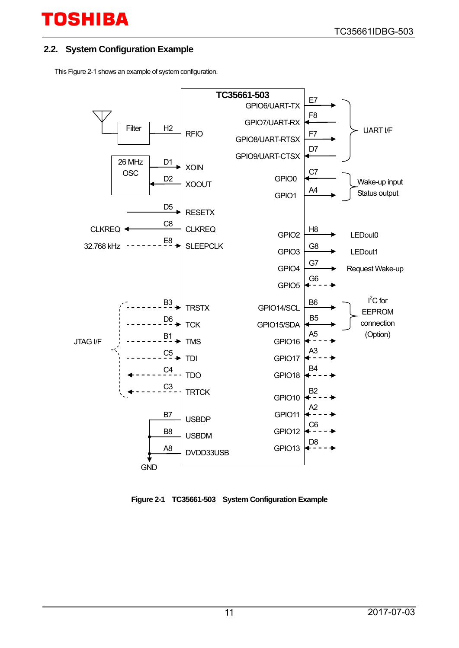#### <span id="page-10-0"></span>**2.2. System Configuration Example**

Thi[s Figure 2-1](#page-10-1) shows an example of system configuration.



<span id="page-10-1"></span>**Figure 2-1 TC35661-503 System Configuration Example**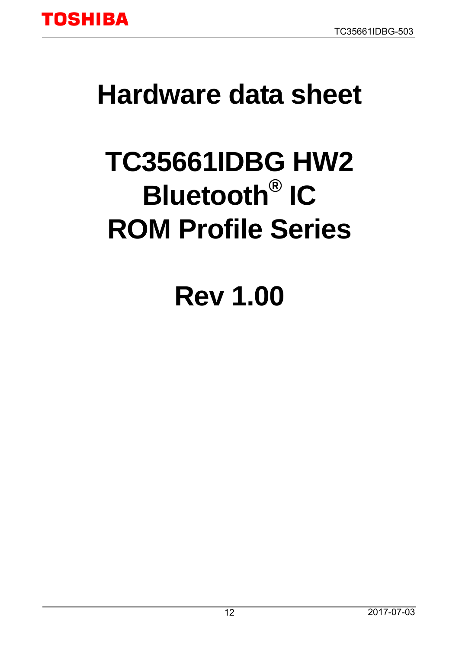

# <span id="page-11-0"></span>**Hardware data sheet**

# **TC35661IDBG HW2 Bluetooth® IC ROM Profile Series**

# **Rev 1.00**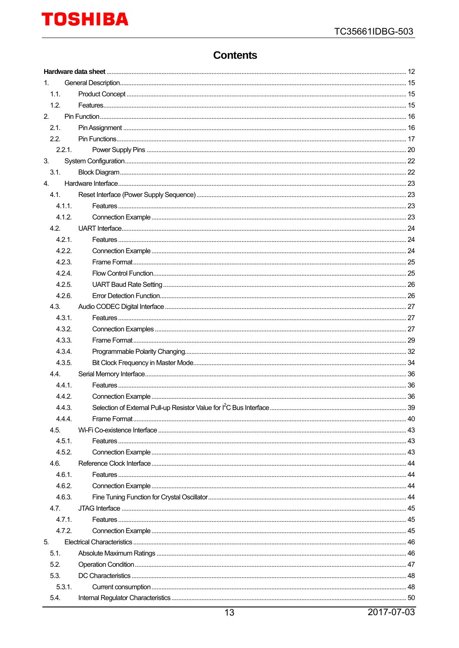### **Contents**

| $1_{-}$          |  |  |  |  |  |
|------------------|--|--|--|--|--|
| 1.1.             |  |  |  |  |  |
| 1.2.             |  |  |  |  |  |
| 2.               |  |  |  |  |  |
| 2.1.             |  |  |  |  |  |
| 2.2.             |  |  |  |  |  |
| 2.2.1.           |  |  |  |  |  |
| 3.               |  |  |  |  |  |
| 3.1.             |  |  |  |  |  |
| 4.               |  |  |  |  |  |
| 4.1.             |  |  |  |  |  |
| 4.1.1.           |  |  |  |  |  |
| 4.1.2.           |  |  |  |  |  |
| 4.2.             |  |  |  |  |  |
| 4.2.1.           |  |  |  |  |  |
| 4.2.2.           |  |  |  |  |  |
| 4.2.3.           |  |  |  |  |  |
| 4.2.4.           |  |  |  |  |  |
| 4.2.5.           |  |  |  |  |  |
| 4.2.6.           |  |  |  |  |  |
| 4.3.             |  |  |  |  |  |
| 4.3.1.           |  |  |  |  |  |
| 4.3.2.           |  |  |  |  |  |
| 4.3.3.           |  |  |  |  |  |
| 4.3.4.           |  |  |  |  |  |
| 4.3.5.           |  |  |  |  |  |
| 4.4.             |  |  |  |  |  |
| 4.4.1.<br>4.4.2. |  |  |  |  |  |
|                  |  |  |  |  |  |
| 4.4.3.<br>444    |  |  |  |  |  |
| 4.5.             |  |  |  |  |  |
| 4.5.1            |  |  |  |  |  |
| 4.5.2            |  |  |  |  |  |
| 4.6.             |  |  |  |  |  |
| 4.6.1.           |  |  |  |  |  |
| 4.6.2.           |  |  |  |  |  |
| 4.6.3.           |  |  |  |  |  |
| 4.7.             |  |  |  |  |  |
| 4.7.1.           |  |  |  |  |  |
| 4.7.2.           |  |  |  |  |  |
| 5.               |  |  |  |  |  |
| 5.1.             |  |  |  |  |  |
| 5.2.             |  |  |  |  |  |
| 5.3.             |  |  |  |  |  |
| 5.3.1.           |  |  |  |  |  |
| 5.4.             |  |  |  |  |  |
|                  |  |  |  |  |  |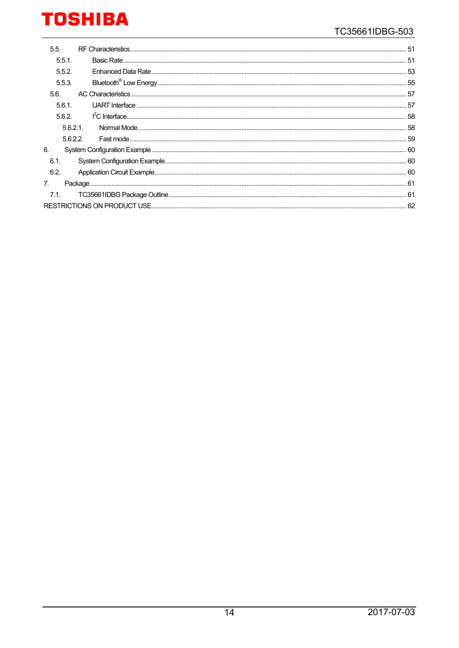| 5.5.      |  |  |  |  |
|-----------|--|--|--|--|
| $5.5.1$ . |  |  |  |  |
| 5.5.2.    |  |  |  |  |
| 5.5.3.    |  |  |  |  |
| 5.6.      |  |  |  |  |
| 5.6.1.    |  |  |  |  |
| 5.6.2.    |  |  |  |  |
| 5.6.2.1   |  |  |  |  |
| 5.6.2.2.  |  |  |  |  |
| 6.        |  |  |  |  |
| 6.1.      |  |  |  |  |
| 6.2.      |  |  |  |  |
| 7.        |  |  |  |  |
| 7.1.      |  |  |  |  |
|           |  |  |  |  |
|           |  |  |  |  |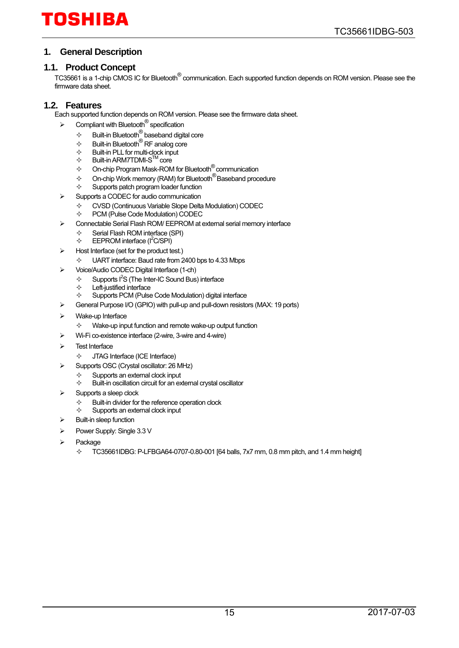#### <span id="page-14-0"></span>**1. General Description**

#### <span id="page-14-1"></span>**1.1. Product Concept**

TC35661 is a 1-chip CMOS IC for Bluetooth® communication. Each supported function depends on ROM version. Please see the firmware data sheet.

#### <span id="page-14-2"></span>**1.2. Features**

Each supported function depends on ROM version. Please see the firmware data sheet.

- $\triangleright$  Compliant with Bluetooth<sup>®</sup> specification
	- $\div$  Built-in Bluetooth<sup>®</sup> baseband digital core
	- $\begin{array}{ll}\n\star & \text{Buit-in Bluetooth} \\
	\diamond & \text{Buit-in Bluetooth} \\
	\star & \text{Buit-in PI I for multi-clock input}\n\end{array}$
	- $\Leftrightarrow$  Built-in PLL for multi-clock input
	- $\Leftrightarrow$  Built-in ARM7TDMI-S<sup>TM</sup> core
	- $\diamond$  On-chip Program Mask-ROM for Bluetooth  $^{\circledR}$  communication
	- $\diamond$  On-chip Work memory (RAM) for Bluetooth<sup>®</sup> Baseband procedure
	- $\Leftrightarrow$  Supports patch program loader function
- Supports a CODEC for audio communication
	- $\diamond$  CVSD (Continuous Variable Slope Delta Modulation) CODEC<br>  $\diamond$  PCM (Pulse Code Modulation) CODEC
	- PCM (Pulse Code Modulation) CODEC
- Connectable Serial Flash ROM/ EEPROM at external serial memory interface
	- $\diamond$  Serial Flash ROM interface (SPI)<br>  $\diamond$  FFPROM interface ( $\angle$ SPI)
	- $\div$  EEPROM interface ( $\text{I}^2\text{C/SPI}$ )
- Host Interface (set for the product test.)
	- $\div$  UART interface: Baud rate from 2400 bps to 4.33 Mbps
- Voice/Audio CODEC Digital Interface (1-ch)
	- $\div$  Supports I<sup>2</sup>S (The Inter-IC Sound Bus) interface
		- $\Leftrightarrow$  Left-justified interface
	- $\Diamond$  Supports PCM (Pulse Code Modulation) digital interface
- General Purpose I/O (GPIO) with pull-up and pull-down resistors (MAX: 19 ports)
- Wake-up Interface
	- $\Diamond$  Wake-up input function and remote wake-up output function
- Wi-Fi co-existence interface (2-wire, 3-wire and 4-wire)
- Test Interface
	- JTAG Interface (ICE Interface)
- Supports OSC (Crystal oscillator: 26 MHz)
	- $\diamond$  Supports an external clock input
	- Built-in oscillation circuit for an external crystal oscillator
- Supports a sleep clock
	- $\diamondsuit$  Built-in divider for the reference operation clock<br> $\diamondsuit$  Supports an external clock input
	- Supports an external clock input
- Built-in sleep function
- Power Supply: Single 3.3 V
- Package
	- $\div$  TC35661IDBG: P-LFBGA64-0707-0.80-001 [64 balls, 7x7 mm, 0.8 mm pitch, and 1.4 mm height]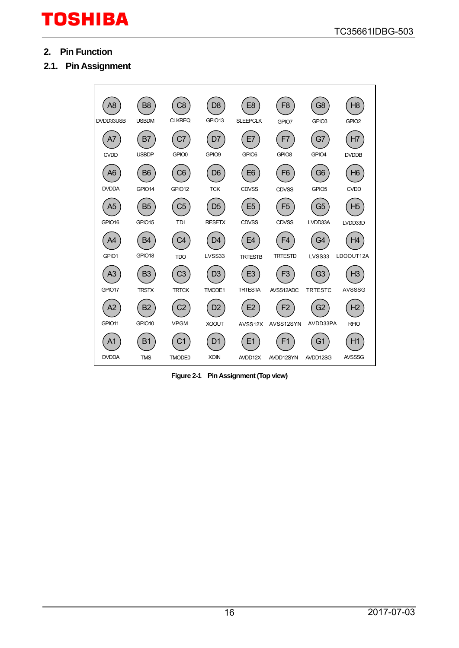- <span id="page-15-0"></span>**2. Pin Function**
- <span id="page-15-1"></span>**2.1. Pin Assignment**



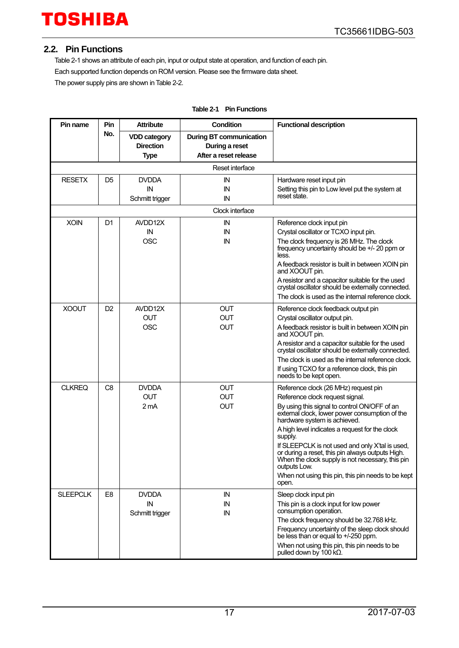#### <span id="page-16-0"></span>**2.2. Pin Functions**

[Table 2-1](#page-16-1) shows an attribute of each pin, input or output state at operation, and function of each pin. Each supported function depends on ROM version. Please see the firmware data sheet. The power supply pins are shown i[n Table 2-2.](#page-19-1) 

<span id="page-16-1"></span>

| Pin name        | Pin            | <b>Attribute</b>                                       | Condition                                                                 | <b>Functional description</b>                                                                                                                                           |
|-----------------|----------------|--------------------------------------------------------|---------------------------------------------------------------------------|-------------------------------------------------------------------------------------------------------------------------------------------------------------------------|
|                 | No.            | <b>VDD category</b><br><b>Direction</b><br><b>Type</b> | <b>During BT communication</b><br>During a reset<br>After a reset release |                                                                                                                                                                         |
|                 |                |                                                        | Reset interface                                                           |                                                                                                                                                                         |
| <b>RESETX</b>   | D <sub>5</sub> | <b>DVDDA</b>                                           | IN                                                                        | Hardware reset input pin                                                                                                                                                |
|                 |                | IN<br>Schmitt trigger                                  | IN<br>IN                                                                  | Setting this pin to Low level put the system at<br>reset state.                                                                                                         |
|                 |                |                                                        | Clock interface                                                           |                                                                                                                                                                         |
| <b>XOIN</b>     | D1             | AVDD12X                                                | ΙN                                                                        | Reference clock input pin                                                                                                                                               |
|                 |                | IN                                                     | ΙN                                                                        | Crystal oscillator or TCXO input pin.                                                                                                                                   |
|                 |                | <b>OSC</b>                                             | IN                                                                        | The clock frequency is 26 MHz. The clock<br>frequency uncertainty should be +/- 20 ppm or<br>less.                                                                      |
|                 |                |                                                        |                                                                           | A feedback resistor is built in between XOIN pin<br>and XOOUT pin.                                                                                                      |
|                 |                |                                                        |                                                                           | A resistor and a capacitor suitable for the used<br>crystal oscillator should be externally connected.                                                                  |
|                 |                |                                                        |                                                                           | The clock is used as the internal reference clock.                                                                                                                      |
| <b>XOOUT</b>    | D <sub>2</sub> | AVDD12X                                                | <b>OUT</b>                                                                | Reference clock feedback output pin                                                                                                                                     |
|                 |                | <b>OUT</b>                                             | <b>OUT</b>                                                                | Crystal oscillator output pin.                                                                                                                                          |
|                 |                | <b>OSC</b>                                             | <b>OUT</b>                                                                | A feedback resistor is built in between XOIN pin<br>and XOOUT pin.                                                                                                      |
|                 |                |                                                        |                                                                           | A resistor and a capacitor suitable for the used<br>crystal oscillator should be externally connected.                                                                  |
|                 |                |                                                        |                                                                           | The clock is used as the internal reference clock.                                                                                                                      |
|                 |                |                                                        |                                                                           | If using TCXO for a reference clock, this pin<br>needs to be kept open.                                                                                                 |
| <b>CLKREQ</b>   | C8             | <b>DVDDA</b>                                           | <b>OUT</b>                                                                | Reference clock (26 MHz) request pin                                                                                                                                    |
|                 |                | <b>OUT</b>                                             | <b>OUT</b>                                                                | Reference clock request signal.                                                                                                                                         |
|                 |                | 2 <sub>m</sub> A                                       | <b>OUT</b>                                                                | By using this signal to control ON/OFF of an<br>external clock, lower power consumption of the<br>hardware system is achieved.                                          |
|                 |                |                                                        |                                                                           | A high level indicates a request for the clock<br>supply.                                                                                                               |
|                 |                |                                                        |                                                                           | If SLEEPCLK is not used and only X'tal is used,<br>or during a reset, this pin always outputs High.<br>When the clock supply is not necessary, this pin<br>outputs Low. |
|                 |                |                                                        |                                                                           | When not using this pin, this pin needs to be kept<br>open.                                                                                                             |
| <b>SLEEPCLK</b> | E <sub>8</sub> | <b>DVDDA</b>                                           | IN                                                                        | Sleep clock input pin                                                                                                                                                   |
|                 |                | IN<br>Schmitt trigger                                  | IN<br>IN                                                                  | This pin is a clock input for low power<br>consumption operation.                                                                                                       |
|                 |                |                                                        |                                                                           | The clock frequency should be 32.768 kHz.                                                                                                                               |
|                 |                |                                                        |                                                                           | Frequency uncertainty of the sleep clock should<br>be less than or equal to +/-250 ppm.                                                                                 |
|                 |                |                                                        |                                                                           | When not using this pin, this pin needs to be<br>pulled down by 100 k $\Omega$ .                                                                                        |

#### **Table 2-1 Pin Functions**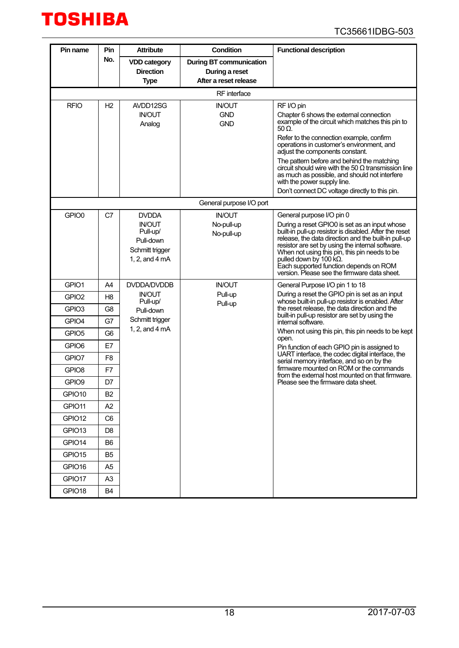

| Pin name                   | Pin            | <b>Attribute</b>                                                                                      | <b>Condition</b>                                                          | <b>Functional description</b>                                                                                                                                                                                                                                                                                                                                                                                                                                                                |
|----------------------------|----------------|-------------------------------------------------------------------------------------------------------|---------------------------------------------------------------------------|----------------------------------------------------------------------------------------------------------------------------------------------------------------------------------------------------------------------------------------------------------------------------------------------------------------------------------------------------------------------------------------------------------------------------------------------------------------------------------------------|
|                            | No.            | <b>VDD category</b><br><b>Direction</b><br><b>Type</b>                                                | <b>During BT communication</b><br>During a reset<br>After a reset release |                                                                                                                                                                                                                                                                                                                                                                                                                                                                                              |
|                            |                |                                                                                                       | RF interface                                                              |                                                                                                                                                                                                                                                                                                                                                                                                                                                                                              |
| <b>RFIO</b>                | H <sub>2</sub> | AVDD12SG<br><b>IN/OUT</b><br>Analog                                                                   | <b>IN/OUT</b><br><b>GND</b><br><b>GND</b>                                 | RF I/O pin<br>Chapter 6 shows the external connection<br>example of the circuit which matches this pin to<br>50 Ω.<br>Refer to the connection example, confirm<br>operations in customer's environment, and<br>adjust the components constant.<br>The pattern before and behind the matching<br>circuit should wire with the 50 $\Omega$ transmission line<br>as much as possible, and should not interfere<br>with the power supply line.<br>Don't connect DC voltage directly to this pin. |
|                            |                |                                                                                                       | General purpose I/O port                                                  |                                                                                                                                                                                                                                                                                                                                                                                                                                                                                              |
| GPIO0                      | C7             | <b>DVDDA</b><br><b>IN/OUT</b><br>Pull-up/<br>Pull-down<br>Schmitt trigger<br>1, 2, and $4 \text{ mA}$ | <b>IN/OUT</b><br>No-pull-up<br>No-pull-up                                 | General purpose I/O pin 0<br>During a reset GPIO0 is set as an input whose<br>built-in pull-up resistor is disabled. After the reset<br>release, the data direction and the built-in pull-up<br>resistor are set by using the internal software.<br>When not using this pin, this pin needs to be<br>pulled down by 100 $k\Omega$ .<br>Each supported function depends on ROM<br>version. Please see the firmware data sheet.                                                                |
| GPIO1                      | A <sub>4</sub> | <b>DVDDA/DVDDB</b>                                                                                    | <b>IN/OUT</b>                                                             | General Purpose I/O pin 1 to 18                                                                                                                                                                                                                                                                                                                                                                                                                                                              |
| GPIO <sub>2</sub>          | H8             | <b>IN/OUT</b>                                                                                         | Pull-up                                                                   | During a reset the GPIO pin is set as an input                                                                                                                                                                                                                                                                                                                                                                                                                                               |
| GPIO <sub>3</sub>          | G <sub>8</sub> | Pull-up/<br>Pull-down<br>Schmitt trigger                                                              | Pull-up                                                                   | whose built-in pull-up resistor is enabled. After<br>the reset release, the data direction and the<br>built-in pull-up resistor are set by using the                                                                                                                                                                                                                                                                                                                                         |
| GPIO4                      | G7             | 1, 2, and 4 mA                                                                                        |                                                                           | internal software.<br>When not using this pin, this pin needs to be kept                                                                                                                                                                                                                                                                                                                                                                                                                     |
| GPIO <sub>5</sub>          | G <sub>6</sub> |                                                                                                       |                                                                           | open.                                                                                                                                                                                                                                                                                                                                                                                                                                                                                        |
| GPIO <sub>6</sub><br>GPIO7 | E7<br>F8       |                                                                                                       |                                                                           | Pin function of each GPIO pin is assigned to<br>UART interface, the codec digital interface, the                                                                                                                                                                                                                                                                                                                                                                                             |
| GPIO <sub>8</sub>          | F7             |                                                                                                       |                                                                           | serial memory interface, and so on by the<br>firmware mounted on ROM or the commands                                                                                                                                                                                                                                                                                                                                                                                                         |
| GPIO9                      | D7             |                                                                                                       |                                                                           | from the external host mounted on that firmware.<br>Please see the firmware data sheet.                                                                                                                                                                                                                                                                                                                                                                                                      |
| GPIO10                     | B <sub>2</sub> |                                                                                                       |                                                                           |                                                                                                                                                                                                                                                                                                                                                                                                                                                                                              |
| GPIO11                     | A <sub>2</sub> |                                                                                                       |                                                                           |                                                                                                                                                                                                                                                                                                                                                                                                                                                                                              |
| GPIO12                     | C <sub>6</sub> |                                                                                                       |                                                                           |                                                                                                                                                                                                                                                                                                                                                                                                                                                                                              |
| GPIO13                     | D8             |                                                                                                       |                                                                           |                                                                                                                                                                                                                                                                                                                                                                                                                                                                                              |
| GPIO14                     | B6             |                                                                                                       |                                                                           |                                                                                                                                                                                                                                                                                                                                                                                                                                                                                              |
| GPIO15                     | B5             |                                                                                                       |                                                                           |                                                                                                                                                                                                                                                                                                                                                                                                                                                                                              |
| GPIO16                     | A5             |                                                                                                       |                                                                           |                                                                                                                                                                                                                                                                                                                                                                                                                                                                                              |
| GPIO17                     | A <sub>3</sub> |                                                                                                       |                                                                           |                                                                                                                                                                                                                                                                                                                                                                                                                                                                                              |
| GPIO18                     | <b>B4</b>      |                                                                                                       |                                                                           |                                                                                                                                                                                                                                                                                                                                                                                                                                                                                              |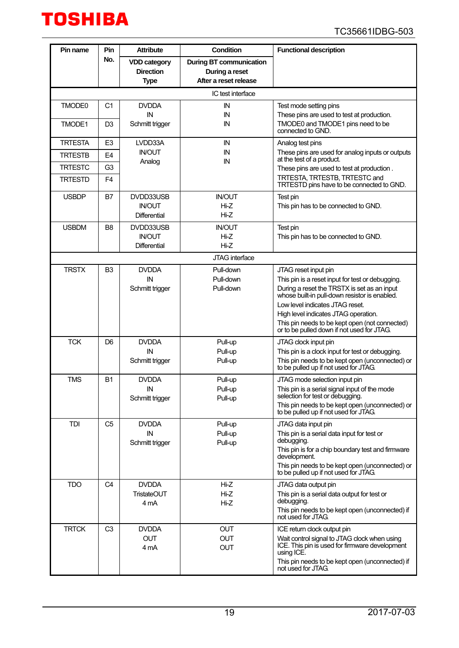

| Pin name       | Pin            | <b>Attribute</b>                     | <b>Condition</b>               | <b>Functional description</b>                                                                  |
|----------------|----------------|--------------------------------------|--------------------------------|------------------------------------------------------------------------------------------------|
|                | No.            | <b>VDD category</b>                  | <b>During BT communication</b> |                                                                                                |
|                |                | <b>Direction</b>                     | During a reset                 |                                                                                                |
|                |                | <b>Type</b>                          | After a reset release          |                                                                                                |
|                |                |                                      | IC test interface              |                                                                                                |
| TMODE0         | C1             | <b>DVDDA</b>                         | IN                             | Test mode setting pins                                                                         |
|                |                | IN                                   | IN                             | These pins are used to test at production.                                                     |
| TMODE1         | D <sub>3</sub> | Schmitt trigger                      | IN                             | TMODE0 and TMODE1 pins need to be<br>connected to GND.                                         |
| <b>TRTESTA</b> | E <sub>3</sub> | LVDD33A                              | IN                             | Analog test pins                                                                               |
| <b>TRTESTB</b> | E4             | <b>IN/OUT</b><br>Analog              | IN<br>IN                       | These pins are used for analog inputs or outputs<br>at the test of a product.                  |
| <b>TRTESTC</b> | G <sub>3</sub> |                                      |                                | These pins are used to test at production.                                                     |
| <b>TRTESTD</b> | F4             |                                      |                                | TRTESTA, TRTESTB, TRTESTC and<br>TRTESTD pins have to be connected to GND.                     |
| <b>USBDP</b>   | B7             | DVDD33USB                            | <b>IN/OUT</b>                  | Test pin                                                                                       |
|                |                | <b>IN/OUT</b>                        | Hi-Z                           | This pin has to be connected to GND.                                                           |
|                |                | <b>Differential</b>                  | $Hi-Z$                         |                                                                                                |
| <b>USBDM</b>   | B <sub>8</sub> | DVDD33USB                            | <b>IN/OUT</b>                  | Test pin                                                                                       |
|                |                | <b>IN/OUT</b><br><b>Differential</b> | Hi-Z<br>$Hi-Z$                 | This pin has to be connected to GND.                                                           |
|                |                |                                      | JTAG interface                 |                                                                                                |
| <b>TRSTX</b>   | B <sub>3</sub> | <b>DVDDA</b>                         | Pull-down                      | JTAG reset input pin                                                                           |
|                |                | IN                                   | Pull-down                      | This pin is a reset input for test or debugging.                                               |
|                |                | Schmitt trigger                      | Pull-down                      | During a reset the TRSTX is set as an input<br>whose built-in pull-down resistor is enabled.   |
|                |                |                                      |                                | Low level indicates JTAG reset.                                                                |
|                |                |                                      |                                | High level indicates JTAG operation.                                                           |
|                |                |                                      |                                | This pin needs to be kept open (not connected)<br>or to be pulled down if not used for JTAG.   |
| <b>TCK</b>     | D6             | <b>DVDDA</b>                         | Pull-up                        | JTAG clock input pin                                                                           |
|                |                | IN                                   | Pull-up                        | This pin is a clock input for test or debugging.                                               |
|                |                | Schmitt trigger                      | Pull-up                        | This pin needs to be kept open (unconnected) or<br>to be pulled up if not used for JTAG.       |
| <b>TMS</b>     | <b>B1</b>      | <b>DVDDA</b>                         | Pull-up                        | JTAG mode selection input pin                                                                  |
|                |                | ${\sf IN}$<br>Schmitt trigger        | Pull-up<br>Pull-up             | This pin is a serial signal input of the mode<br>selection for test or debugging.              |
|                |                |                                      |                                | This pin needs to be kept open (unconnected) or<br>to be pulled up if not used for JTAG.       |
| <b>TDI</b>     | C <sub>5</sub> | <b>DVDDA</b>                         | Pull-up                        | JTAG data input pin                                                                            |
|                |                | IN                                   | Pull-up                        | This pin is a serial data input for test or                                                    |
|                |                | Schmitt trigger                      | Pull-up                        | debugging.                                                                                     |
|                |                |                                      |                                | This pin is for a chip boundary test and firmware<br>development.                              |
|                |                |                                      |                                | This pin needs to be kept open (unconnected) or<br>to be pulled up if not used for JTAG.       |
| <b>TDO</b>     | C <sub>4</sub> | <b>DVDDA</b>                         | Hi-Z                           | JTAG data output pin                                                                           |
|                |                | <b>TristateOUT</b>                   | Hi-Z                           | This pin is a serial data output for test or<br>debugging.                                     |
|                |                | 4 mA                                 | Hi-Z                           | This pin needs to be kept open (unconnected) if                                                |
|                |                |                                      |                                | not used for JTAG.                                                                             |
| <b>TRTCK</b>   | C <sub>3</sub> | <b>DVDDA</b>                         | <b>OUT</b>                     | ICE return clock output pin                                                                    |
|                |                | <b>OUT</b><br>4 mA                   | <b>OUT</b><br><b>OUT</b>       | Wait control signal to JTAG clock when using<br>ICE. This pin is used for firmware development |
|                |                |                                      |                                | using ICE.                                                                                     |
|                |                |                                      |                                | This pin needs to be kept open (unconnected) if<br>not used for JTAG.                          |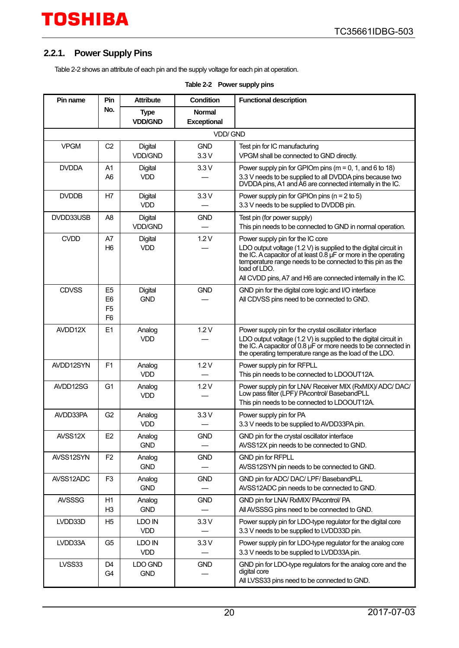#### <span id="page-19-0"></span>**2.2.1. Power Supply Pins**

<span id="page-19-1"></span>[Table 2-2](#page-19-1) shows an attribute of each pin and the supply voltage for each pin at operation.

| Pin name      | Pin                                                                  | <b>Attribute</b>                 | <b>Condition</b>                    | <b>Functional description</b>                                                                                                                                                                                                                                                                                           |
|---------------|----------------------------------------------------------------------|----------------------------------|-------------------------------------|-------------------------------------------------------------------------------------------------------------------------------------------------------------------------------------------------------------------------------------------------------------------------------------------------------------------------|
|               | No.                                                                  | <b>Type</b><br><b>VDD/GND</b>    | <b>Normal</b><br><b>Exceptional</b> |                                                                                                                                                                                                                                                                                                                         |
|               |                                                                      |                                  | <b>VDD/GND</b>                      |                                                                                                                                                                                                                                                                                                                         |
| <b>VPGM</b>   | C <sub>2</sub>                                                       | <b>Digital</b><br><b>VDD/GND</b> | <b>GND</b><br>3.3V                  | Test pin for IC manufacturing<br>VPGM shall be connected to GND directly.                                                                                                                                                                                                                                               |
| <b>DVDDA</b>  | A <sub>1</sub><br>A <sub>6</sub>                                     | <b>Digital</b><br><b>VDD</b>     | 3.3V                                | Power supply pin for GPIOm pins ( $m = 0$ , 1, and 6 to 18)<br>3.3 V needs to be supplied to all DVDDA pins because two<br>DVDDA pins, A1 and A6 are connected internally in the IC.                                                                                                                                    |
| <b>DVDDB</b>  | H7                                                                   | <b>Digital</b><br><b>VDD</b>     | 3.3V                                | Power supply pin for GPIOn pins ( $n = 2$ to 5)<br>3.3 V needs to be supplied to DVDDB pin.                                                                                                                                                                                                                             |
| DVDD33USB     | A8                                                                   | Digital<br><b>VDD/GND</b>        | <b>GND</b>                          | Test pin (for power supply)<br>This pin needs to be connected to GND in normal operation.                                                                                                                                                                                                                               |
| <b>CVDD</b>   | A7<br>H6                                                             | <b>Digital</b><br><b>VDD</b>     | 1.2V                                | Power supply pin for the IC core<br>LDO output voltage $(1.2 V)$ is supplied to the digital circuit in<br>the IC. A capacitor of at least 0.8 µF or more in the operating<br>temperature range needs to be connected to this pin as the<br>load of LDO.<br>All CVDD pins, A7 and H6 are connected internally in the IC. |
| <b>CDVSS</b>  | E <sub>5</sub><br>E <sub>6</sub><br>F <sub>5</sub><br>F <sub>6</sub> | <b>Digital</b><br><b>GND</b>     | <b>GND</b>                          | GND pin for the digital core logic and I/O interface<br>All CDVSS pins need to be connected to GND.                                                                                                                                                                                                                     |
| AVDD12X       | E1                                                                   | Analog<br><b>VDD</b>             | 1.2V                                | Power supply pin for the crystal oscillator interface<br>LDO output voltage (1.2 V) is supplied to the digital circuit in<br>the IC. A capacitor of 0.8 µF or more needs to be connected in<br>the operating temperature range as the load of the LDO.                                                                  |
| AVDD12SYN     | F <sub>1</sub>                                                       | Analog<br><b>VDD</b>             | 1.2V                                | Power supply pin for RFPLL<br>This pin needs to be connected to LDOOUT12A.                                                                                                                                                                                                                                              |
| AVDD12SG      | G <sub>1</sub>                                                       | Analog<br><b>VDD</b>             | 1.2V                                | Power supply pin for LNA/ Receiver MIX (RxMIX)/ ADC/ DAC/<br>Low pass filter (LPF)/ PAcontrol/ BasebandPLL<br>This pin needs to be connected to LDOOUT12A.                                                                                                                                                              |
| AVDD33PA      | G <sub>2</sub>                                                       | Analog<br><b>VDD</b>             | 3.3V                                | Power supply pin for PA<br>3.3 V needs to be supplied to AVDD33PA pin.                                                                                                                                                                                                                                                  |
| AVSS12X       | E <sub>2</sub>                                                       | Analog<br><b>GND</b>             | <b>GND</b>                          | GND pin for the crystal oscillator interface<br>AVSS12X pin needs to be connected to GND.                                                                                                                                                                                                                               |
| AVSS12SYN     | F <sub>2</sub>                                                       | Analog<br><b>GND</b>             | <b>GND</b>                          | GND pin for RFPLL<br>AVSS12SYN pin needs to be connected to GND.                                                                                                                                                                                                                                                        |
| AVSS12ADC     | F <sub>3</sub>                                                       | Analog<br><b>GND</b>             | <b>GND</b>                          | GND pin for ADC/ DAC/ LPF/ BasebandPLL<br>AVSS12ADC pin needs to be connected to GND.                                                                                                                                                                                                                                   |
| <b>AVSSSG</b> | H1<br>H <sub>3</sub>                                                 | Analog<br><b>GND</b>             | <b>GND</b>                          | GND pin for LNA/ RxMIX/ PAcontrol/ PA<br>All AVSSSG pins need to be connected to GND.                                                                                                                                                                                                                                   |
| LVDD33D       | H <sub>5</sub>                                                       | LDO IN<br><b>VDD</b>             | 3.3V                                | Power supply pin for LDO-type regulator for the digital core<br>3.3 V needs to be supplied to LVDD33D pin.                                                                                                                                                                                                              |
| LVDD33A       | G <sub>5</sub>                                                       | LDO IN<br><b>VDD</b>             | 3.3V                                | Power supply pin for LDO-type regulator for the analog core<br>3.3 V needs to be supplied to LVDD33A pin.                                                                                                                                                                                                               |
| LVSS33        | D <sub>4</sub><br>G4                                                 | LDO GND<br><b>GND</b>            | <b>GND</b>                          | GND pin for LDO-type regulators for the analog core and the<br>digital core<br>All LVSS33 pins need to be connected to GND.                                                                                                                                                                                             |

#### **Table 2-2 Power supply pins**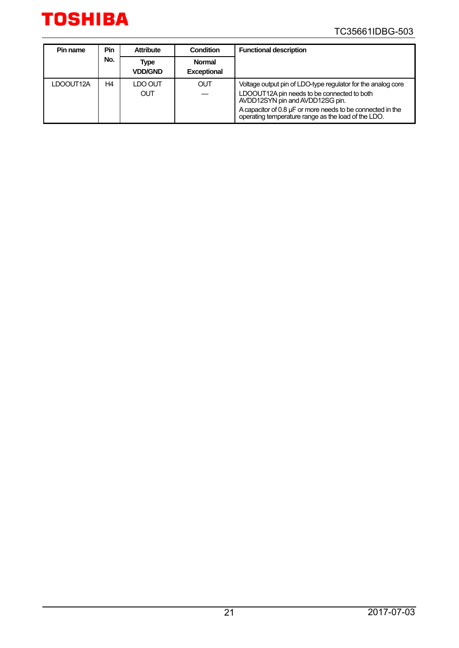

#### TC35661IDBG-503

| Pin name  | Pin | <b>Attribute</b>       | Condition                           | <b>Functional description</b>                                                                                                                  |
|-----------|-----|------------------------|-------------------------------------|------------------------------------------------------------------------------------------------------------------------------------------------|
|           | No. | Type<br><b>VDD/GND</b> | <b>Normal</b><br><b>Exceptional</b> |                                                                                                                                                |
| LDOOUT12A | H4  | LDO OUT<br>OUT         | <b>OUT</b>                          | Voltage output pin of LDO-type regulator for the analog core<br>LDOOUT12A pin needs to be connected to both<br>AVDD12SYN pin and AVDD12SG pin. |
|           |     |                        |                                     | A capacitor of 0.8 $\mu$ F or more needs to be connected in the<br>operating temperature range as the load of the LDO.                         |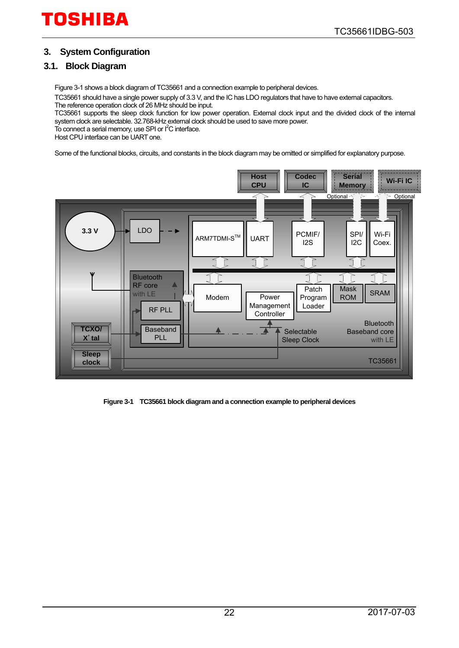#### <span id="page-21-0"></span>**3. System Configuration**

#### <span id="page-21-1"></span>**3.1. [Block Diagram](#page-21-2)**

[Figure 3-1 s](#page-21-3)hows a block diagram of TC35661 and a connection example to peripheral devices.

TC35661 should have a single power supply of 3.3 V, and the IC has LDO regulators that have to have external capacitors. The reference operation clock of 26 MHz should be input.

TC35661 supports the sleep clock function for low power operation. External clock input and the divided clock of the internal system clock are selectable. 32.768-kHz external clock should be used to save more power.

To connect a serial memory, use SPI or I<sup>2</sup>C interface.

Host CPU interface can be UART one.

Some of the functional blocks, circuits, and constants in the block diagram may be omitted or simplified for explanatory purpose.



<span id="page-21-3"></span><span id="page-21-2"></span>**Figure 3-1 TC35661 block diagram and a connection example to peripheral devices**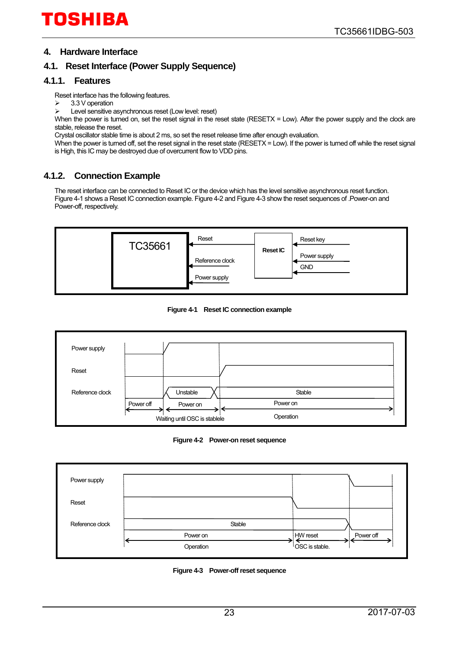#### <span id="page-22-0"></span>**4. Hardware Interface**

#### <span id="page-22-1"></span>**4.1. Reset Interface (Power Supply Sequence)**

#### <span id="page-22-2"></span>**4.1.1. Features**

Reset interface has the following features.

- 3.3 V operation
- $\triangleright$  Level sensitive asynchronous reset (Low level: reset)

When the power is turned on, set the reset signal in the reset state (RESETX = Low). After the power supply and the clock are stable, release the reset.

Crystal oscillator stable time is about 2 ms, so set the reset release time after enough evaluation.

When the power is turned off, set the reset signal in the reset state (RESETX = Low). If the power is turned off while the reset signal is High, this IC may be destroyed due of overcurrent flow to VDD pins.

#### <span id="page-22-3"></span>**4.1.2. Connection Example**

The reset interface can be connected to Reset IC or the device which has the level sensitive asynchronous reset function. [Figure 4-1 s](#page-22-4)hows a Reset IC connection example[. Figure 4-2 a](#page-22-5)n[d Figure 4-3](#page-22-6) show the reset sequences of .Power-on and Power-off, respectively.



**Figure 4-1 Reset IC connection example**

<span id="page-22-4"></span>

**Figure 4-2 Power-on reset sequence**

<span id="page-22-6"></span><span id="page-22-5"></span>

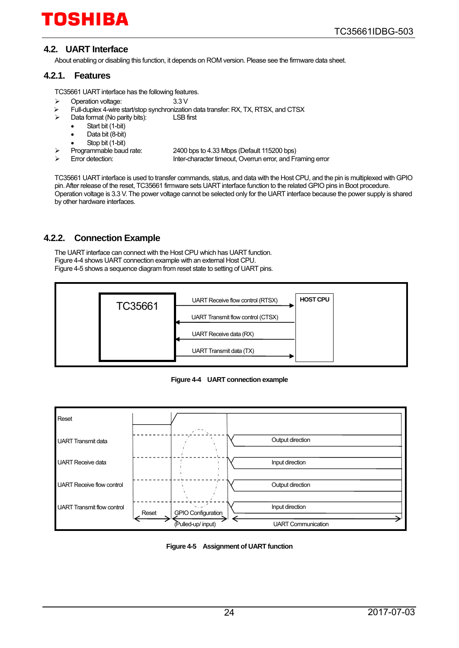#### <span id="page-23-0"></span>**4.2. UART Interface**

About enabling or disabling this function, it depends on ROM version. Please see the firmware data sheet.

#### <span id="page-23-1"></span>**4.2.1. Features**

TC35661 UART interface has the following features.

- Operation voltage: 3.3 V
- $\triangleright$  Full-duplex 4-wire start/stop synchronization data transfer: RX, TX, RTSX, and CTSX<br>  $\triangleright$  Data format (No parity bits): LSB first
	- Data format (No parity bits):
		- Start bit (1-bit)
		- Data bit (8-bit)
		- Stop bit (1-bit)
- - Programmable baud rate: 2400 bps to 4.33 Mbps (Default 115200 bps)
- 

Inter-character timeout, Overrun error, and Framing error

TC35661 UART interface is used to transfer commands, status, and data with the Host CPU, and the pin is multiplexed with GPIO pin. After release of the reset, TC35661 firmware sets UART interface function to the related GPIO pins in Boot procedure. Operation voltage is 3.3 V. The power voltage cannot be selected only for the UART interface because the power supply is shared by other hardware interfaces.

#### <span id="page-23-2"></span>**4.2.2. Connection Example**

The UART interface can connect with the Host CPU which has UART function. [Figure 4-4 s](#page-23-3)hows UART connection example with an external Host CPU. [Figure 4-5 s](#page-23-4)hows a sequence diagram from reset state to setting of UART pins.



**Figure 4-4 UART connection example**

<span id="page-23-3"></span>

<span id="page-23-4"></span>**Figure 4-5 Assignment of UART function**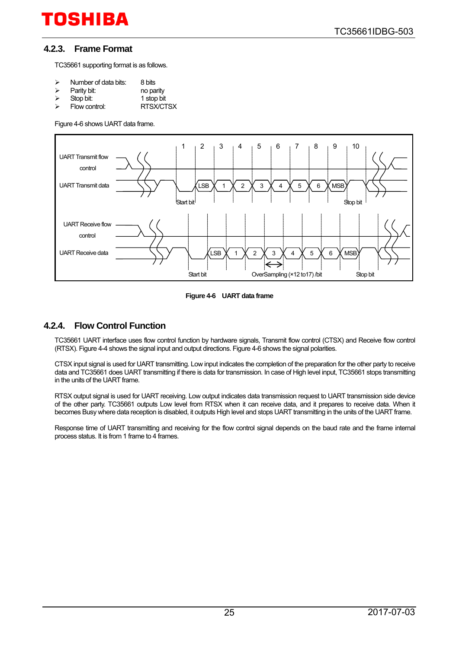#### <span id="page-24-0"></span>**4.2.3. Frame Format**

TC35661 supporting format is as follows.

- 
- $\geq$  Number of data bits: 8 bits<br> $\geq$  Parity bit: no parity
- Parity bit:<br>Stop bit:
- → Stop bit: 1 stop bit:<br>
→ Flow control: RTSX/CT RTSX/CTSX

[Figure 4-6 s](#page-24-2)hows UART data frame.



**Figure 4-6 UART data frame**

#### <span id="page-24-2"></span><span id="page-24-1"></span>**4.2.4. Flow Control Function**

TC35661 UART interface uses flow control function by hardware signals, Transmit flow control (CTSX) and Receive flow control (RTSX)[. Figure 4-4 s](#page-23-3)hows the signal input and output directions[. Figure 4-6 s](#page-24-2)hows the signal polarities.

CTSX input signal is used for UART transmitting. Low input indicates the completion of the preparation for the other party to receive data and TC35661 does UART transmitting if there is data for transmission. In case of High level input, TC35661 stops transmitting in the units of the UART frame.

RTSX output signal is used for UART receiving. Low output indicates data transmission request to UART transmission side device of the other party. TC35661 outputs Low level from RTSX when it can receive data, and it prepares to receive data. When it becomes Busy where data reception is disabled, it outputs High level and stops UART transmitting in the units of the UART frame.

Response time of UART transmitting and receiving for the flow control signal depends on the baud rate and the frame internal process status. It is from 1 frame to 4 frames.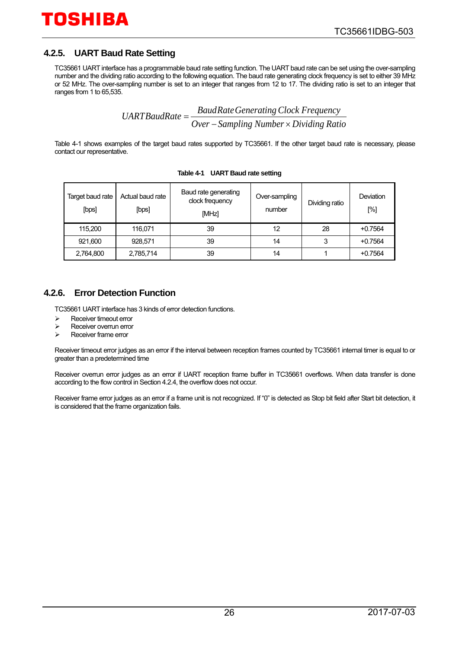#### <span id="page-25-0"></span>**4.2.5. UART Baud Rate Setting**

TC35661 UART interface has a programmable baud rate setting function. The UART baud rate can be set using the over-sampling number and the dividing ratio according to the following equation. The baud rate generating clock frequency is set to either 39 MHz or 52 MHz. The over-sampling number is set to an integer that ranges from 12 to 17. The dividing ratio is set to an integer that ranges from 1 to 65,535.

*Over SaudRate Generating Clock Frequency*<br>*Over* – *Sampling Number* × *Dividing Ratio* 

<span id="page-25-2"></span>[Table 4-1](#page-25-2) shows examples of the target baud rates supported by TC35661. If the other target baud rate is necessary, please contact our representative.

| Target baud rate<br>[bps] | Actual baud rate<br>[bps] | Baud rate generating<br>clock frequency<br>[MHz] | Over-sampling<br>number | Dividing ratio | Deviation<br>[%] |
|---------------------------|---------------------------|--------------------------------------------------|-------------------------|----------------|------------------|
| 115.200                   | 116.071                   | 39                                               | 12                      | 28             | $+0.7564$        |
| 921,600                   | 928,571                   | 39                                               | 14                      |                | $+0.7564$        |
| 2,764,800                 | 2,785,714                 | 39                                               | 14                      |                | $+0.7564$        |

**Table 4-1 UART Baud rate setting**

#### <span id="page-25-1"></span>**4.2.6. Error Detection Function**

TC35661 UART interface has 3 kinds of error detection functions.

- $\triangleright$  Receiver timeout error<br> $\triangleright$  Receiver overrun error
- $\triangleright$  Receiver overrun error<br> $\triangleright$  Receiver frame error
- Receiver frame error

Receiver timeout error judges as an error if the interval between reception frames counted by TC35661 internal timer is equal to or greater than a predetermined time

Receiver overrun error judges as an error if UART reception frame buffer in TC35661 overflows. When data transfer is done according to the flow control in Section 4.2.4, the overflow does not occur.

Receiver frame error judges as an error if a frame unit is not recognized. If "0" is detected as Stop bit field after Start bit detection, it is considered that the frame organization fails.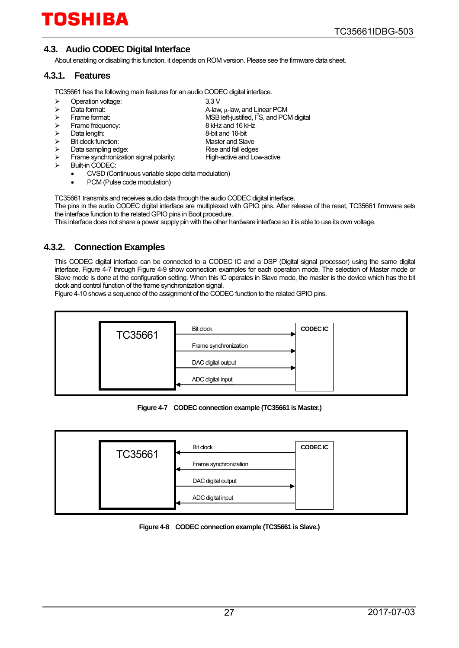#### <span id="page-26-0"></span>**4.3. Audio CODEC Digital Interface**

About enabling or disabling this function, it depends on ROM version. Please see the firmware data sheet.

#### <span id="page-26-1"></span>**4.3.1. Features**

TC35661 has the following main features for an audio CODEC digital interface.

| Operation voltage: | 3.3V                |
|--------------------|---------------------|
| Dota format:       | $\Lambda$ $\Lambda$ |

- $\triangleright$  Data format:  $\triangleright$  Data format:  $\triangleright$  A-law, μ-law, and Linear PCM<br> $\triangleright$  Frame format:  $\triangleright$  MSB left-justified, I<sup>2</sup>S, and PC
- $\triangleright$  Frame format:  $\triangleright$  MSB left-justified,  $I^2S$ , and PCM digital
- Frame frequency: 8 kHz and 16 kHz
- → Data length: 2002 Contract and 16-bit and 16-bit and 16-bit and 16-bit and 16-bit and Slave
- → Bit clock function: Master and Slave<br>
→ Data sampling edge: Master and fall edges
- ightary Data sampling edge:<br>  $\ge$  Prame synchronization signal polarity: High-active and Low-active Frame synchronization signal polarity:
- Built-in CODEC:
	- CVSD (Continuous variable slope delta modulation)
	- PCM (Pulse code modulation)

TC35661 transmits and receives audio data through the audio CODEC digital interface.

The pins in the audio CODEC digital interface are multiplexed with GPIO pins. After release of the reset, TC35661 firmware sets the interface function to the related GPIO pins in Boot procedure.

This interface does not share a power supply pin with the other hardware interface so it is able to use its own voltage.

#### <span id="page-26-2"></span>**4.3.2. Connection Examples**

This CODEC digital interface can be connected to a CODEC IC and a DSP (Digital signal processor) using the same digital interface. [Figure 4-7](#page-26-3) through [Figure 4-9](#page-27-0) show connection examples for each operation mode. The selection of Master mode or Slave mode is done at the configuration setting. When this IC operates in Slave mode, the master is the device which has the bit clock and control function of the frame synchronization signal.

[Figure 4-10](#page-27-1) shows a sequence of the assignment of the CODEC function to the related GPIO pins.



**Figure 4-7 CODEC connection example (TC35661 is Master.)**

<span id="page-26-3"></span>

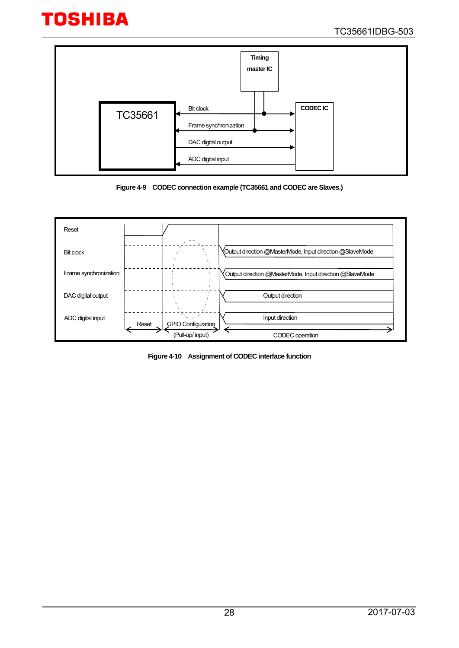

**Figure 4-9 CODEC connection example (TC35661 and CODEC are Slaves.)**

<span id="page-27-0"></span>

<span id="page-27-1"></span>**Figure 4-10 Assignment of CODEC interface function**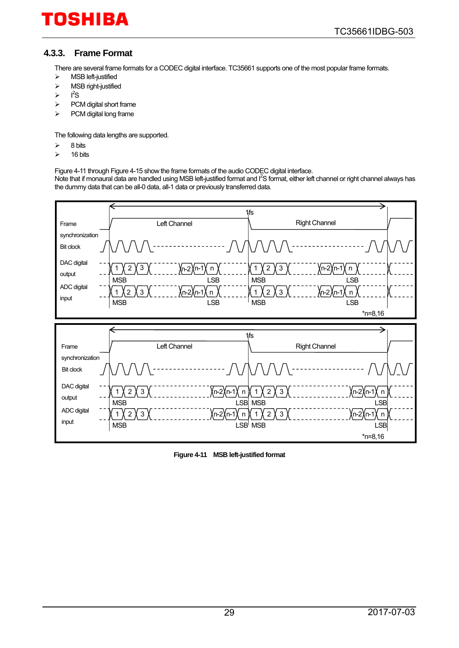#### <span id="page-28-0"></span>**4.3.3. Frame Format**

There are several frame formats for a CODEC digital interface. TC35661 supports one of the most popular frame formats.

- > MSB left-justified
- $\triangleright$  MSB right-justified
- $\triangleright$   $I^2S$
- $\triangleright$  PCM digital short frame
- $\triangleright$  PCM digital long frame

The following data lengths are supported.

- $\geq$  8 bits
- $\geq$  16 bits

[Figure 4-11](#page-28-1) throug[h Figure 4-15](#page-30-0) show the frame formats of the audio CODEC digital interface.

Note that if monaural data are handled using MSB left-justified format and I<sup>2</sup>S format, either left channel or right channel always has the dummy data that can be all-0 data, all-1 data or previously transferred data.



<span id="page-28-1"></span>**Figure 4-11 MSB left-justified format**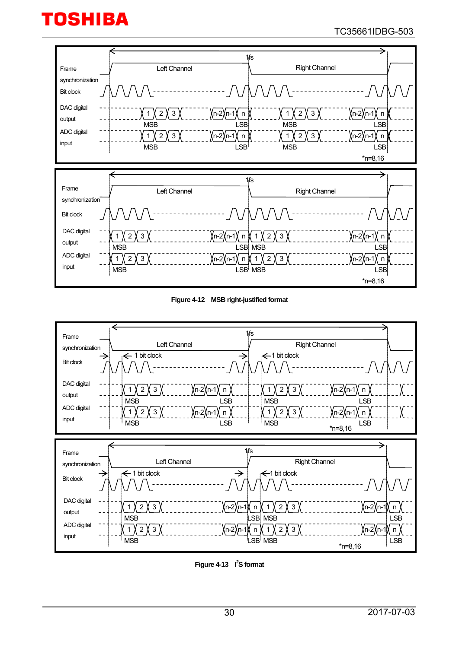#### TC35661IDBG-503



**Figure 4-12 MSB right-justified format**



**Figure 4-13 I<sup>2</sup>S format**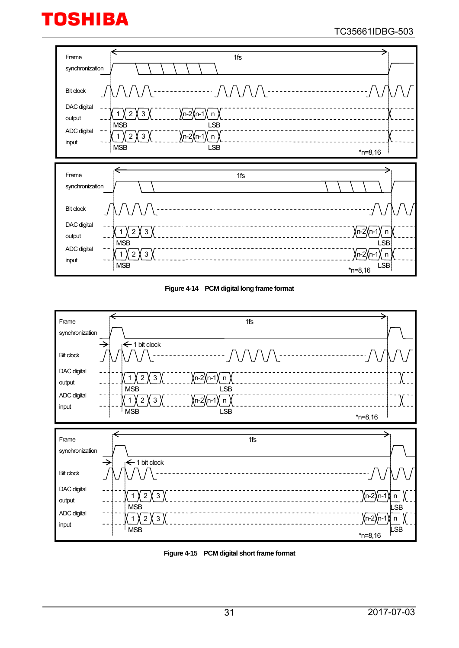#### TC35661IDBG-503







<span id="page-30-0"></span>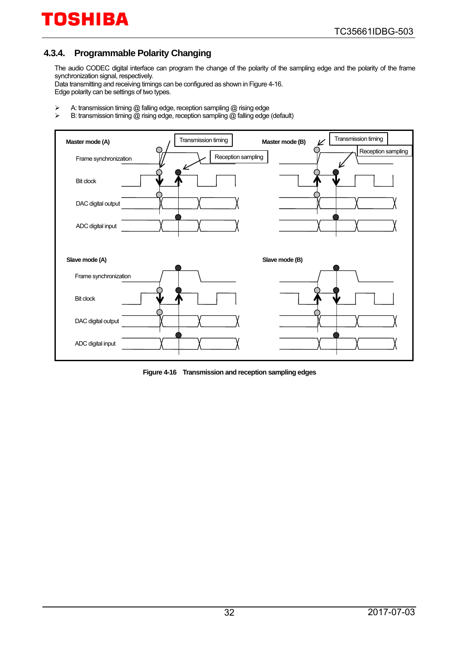#### <span id="page-31-0"></span>**4.3.4. Programmable Polarity Changing**

The audio CODEC digital interface can program the change of the polarity of the sampling edge and the polarity of the frame synchronization signal, respectively.

Data transmitting and receiving timings can be configured as shown i[n Figure 4-16.](#page-31-1)  Edge polarity can be settings of two types.

- A: transmission timing @ falling edge, reception sampling @ rising edge<br>
A: transmission timing @ rising edge, reception sampling @ falling edge
- B: transmission timing @ rising edge, reception sampling @ falling edge (default)



<span id="page-31-1"></span>**Figure 4-16 Transmission and reception sampling edges**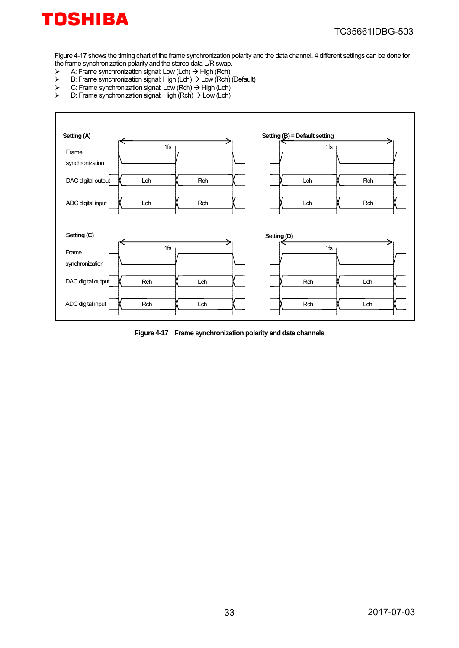[Figure 4-17](#page-32-0) shows the timing chart of the frame synchronization polarity and the data channel. 4 different settings can be done for the frame synchronization polarity and the stereo data L/R swap.<br>  $\triangleright$  A: Frame synchronization signal: Low (Lch)  $\rightarrow$  High (Rch)

- $\triangleright$  A: Frame synchronization signal: Low (Lch)  $\rightarrow$  High (Rch)
- $\triangleright$  B: Frame synchronization signal: High (Lch)  $\rightarrow$  Low (Rch) (Default)
- $\triangleright$  C: Frame synchronization signal: Low (Rch)  $\rightarrow$  High (Lch)  $\triangleright$  D: Frame synchronization signal: High (Rch)  $\rightarrow$  Low (Lch)
- D: Frame synchronization signal: High (Rch) → Low (Lch)

| Setting (A)              |     |     |                        | Setting (B) = Default setting |     |
|--------------------------|-----|-----|------------------------|-------------------------------|-----|
| Frame<br>synchronization | 1fs |     |                        | 1fs                           |     |
| DAC digital output       | Lch | Rch |                        | Lch                           | Rch |
| ADC digital input        | Lch | Rch |                        | Lch                           | Rch |
| Setting (C)              |     |     | Setting <sub>(D)</sub> |                               |     |
| Frame<br>synchronization | 1fs |     |                        | 1fs                           |     |
| DAC digital output       | Rch | Lch |                        | Rch                           | Lch |
| ADC digital input        | Rch | Lch |                        | Rch                           | Lch |

<span id="page-32-0"></span>**Figure 4-17 Frame synchronization polarity and data channels**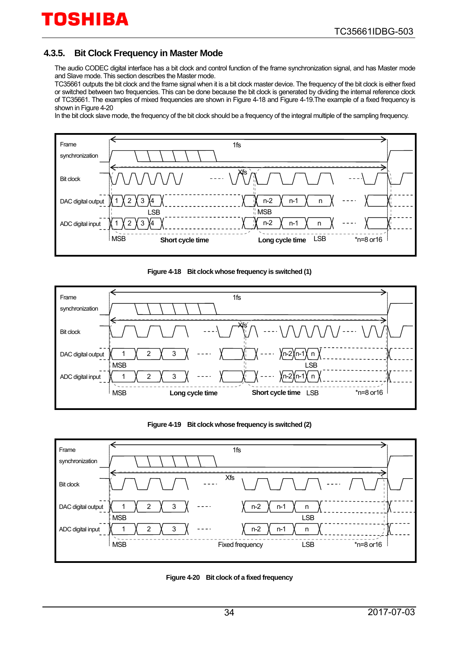#### <span id="page-33-0"></span>**4.3.5. Bit Clock Frequency in Master Mode**

The audio CODEC digital interface has a bit clock and control function of the frame synchronization signal, and has Master mode and Slave mode. This section describes the Master mode.

TC35661 outputs the bit clock and the frame signal when it is a bit clock master device. The frequency of the bit clock is either fixed or switched between two frequencies. This can be done because the bit clock is generated by dividing the internal reference clock of TC35661. The examples of mixed frequencies are shown i[n Figure 4-18](#page-33-1) and [Figure 4-19.T](#page-33-2)he example of a fixed frequency is shown in [Figure 4-20](#page-33-3)

In the bit clock slave mode, the frequency of the bit clock should be a frequency of the integral multiple of the sampling frequency.



#### **Figure 4-18 Bit clock whose frequency is switched (1)**

<span id="page-33-1"></span>

**Figure 4-19 Bit clock whose frequency is switched (2)**

<span id="page-33-2"></span>

<span id="page-33-3"></span>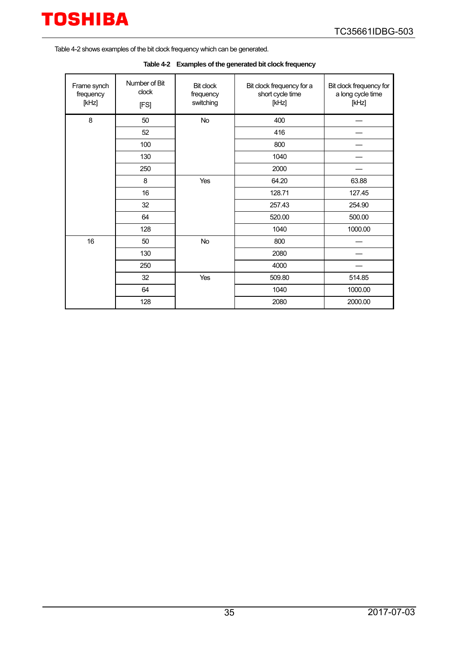

<span id="page-34-0"></span>[Table 4-2](#page-34-0) shows examples of the bit clock frequency which can be generated.

|  | Table 4-2 Examples of the generated bit clock frequency |
|--|---------------------------------------------------------|
|--|---------------------------------------------------------|

| Frame synch<br>frequency<br>[kHz] | Number of Bit<br>clock<br>[FS] | <b>Bit clock</b><br>frequency<br>switching | Bit clock frequency for a<br>short cycle time<br>[kHz] | Bit clock frequency for<br>a long cycle time<br>[kHz] |
|-----------------------------------|--------------------------------|--------------------------------------------|--------------------------------------------------------|-------------------------------------------------------|
| 8                                 | 50                             | No                                         | 400                                                    |                                                       |
|                                   | 52                             |                                            | 416                                                    |                                                       |
|                                   | 100                            |                                            | 800                                                    |                                                       |
|                                   | 130                            |                                            | 1040                                                   |                                                       |
|                                   | 250                            |                                            | 2000                                                   |                                                       |
|                                   | 8                              | Yes                                        | 64.20                                                  | 63.88                                                 |
|                                   | 16                             |                                            | 128.71                                                 | 127.45                                                |
|                                   | 32                             |                                            | 257.43                                                 | 254.90                                                |
|                                   | 64                             |                                            | 520.00                                                 | 500.00                                                |
|                                   | 128                            |                                            | 1040                                                   | 1000.00                                               |
| 16                                | 50                             | No                                         | 800                                                    |                                                       |
|                                   | 130                            |                                            | 2080                                                   |                                                       |
|                                   | 250                            |                                            | 4000                                                   |                                                       |
|                                   | 32                             | Yes                                        | 509.80                                                 | 514.85                                                |
|                                   | 64                             |                                            | 1040                                                   | 1000.00                                               |
|                                   | 128                            |                                            | 2080                                                   | 2000.00                                               |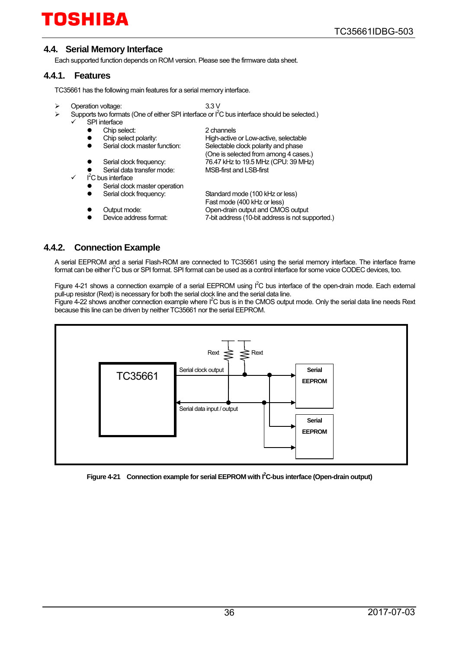#### <span id="page-35-0"></span>**4.4. Serial Memory Interface**

Each supported function depends on ROM version. Please see the firmware data sheet.

#### <span id="page-35-1"></span>**4.4.1. Features**

TC35661 has the following main features for a serial memory interface.

- Operation voltage: 3.3 V
- $\triangleright$  Supports two formats (One of either SPI interface or  $I^2C$  bus interface should be selected.)
	- SPI interface
		-
		- Chip select:<br>
		Chip select polarity:<br>
		High-active<br>
		High-active • Chip select polarity: High-active or Low-active, selectable<br>• Serial clock master function: Selectable clock polarity and phase
		- Serial clock master function: Selectable clock polarity and phase
		-
		- (One is selected from among 4 cases.)<br>T6.47 kHz to 19.5 MHz (CPU: 39 MHz)
		- Serial data transfer mode:
		- $\checkmark$  I<sup>2</sup>C bus interface
			-
			- Serial clock master operation<br>Serial clock frequency: Serial clock frequency: Standard mode (100 kHz or less)
			-
			-
- Fast mode (400 kHz or less)<br>Output mode: Copen-drain output and CMO Open-drain output and CMOS output Device address format:  $\qquad \qquad$  7-bit address (10-bit address is not supported.)
- <span id="page-35-2"></span>**4.4.2. Connection Example**

A serial EEPROM and a serial Flash-ROM are connected to TC35661 using the serial memory interface. The interface frame format can be either I<sup>2</sup>C bus or SPI format. SPI format can be used as a control interface for some voice CODEC devices, too.

76.47 kHz to 19.5 MHz (CPU: 39 MHz)<br>MSB-first and LSB-first

[Figure 4-21](#page-35-3) shows a connection example of a serial EEPROM using  $I^2C$  bus interface of the open-drain mode. Each external pull-up resistor (Rext) is necessary for both the serial clock line and the serial data line.

[Figure 4-22](#page-36-0) shows another connection example where  $I^2C$  bus is in the CMOS output mode. Only the serial data line needs Rext because this line can be driven by neither TC35661 nor the serial EEPROM.



<span id="page-35-3"></span>Figure 4-21 Connection example for serial EEPROM with I<sup>2</sup>C-bus interface (Open-drain output)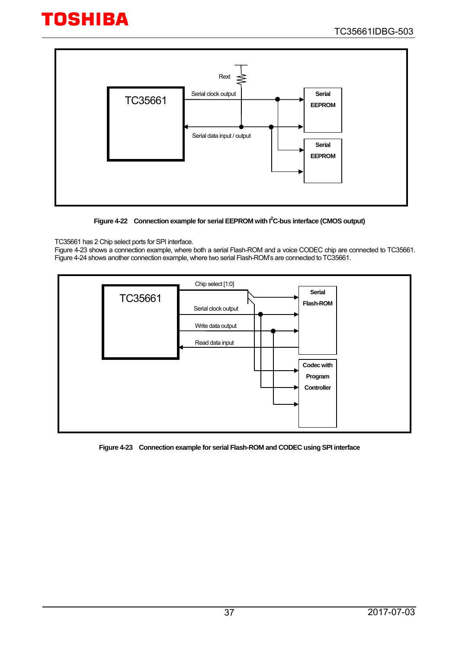

Figure 4-22 Connection example for serial EEPROM with I<sup>2</sup>C-bus interface (CMOS output)

#### <span id="page-36-0"></span>TC35661 has 2 Chip select ports for SPI interface.

[Figure 4-23](#page-36-1) shows a connection example, where both a serial Flash-ROM and a voice CODEC chip are connected to TC35661. [Figure 4-24](#page-37-0) shows another connection example, where two serial Flash-ROM's are connected to TC35661.



<span id="page-36-1"></span>**Figure 4-23 Connection example for serial Flash-ROM and CODEC using SPI interface**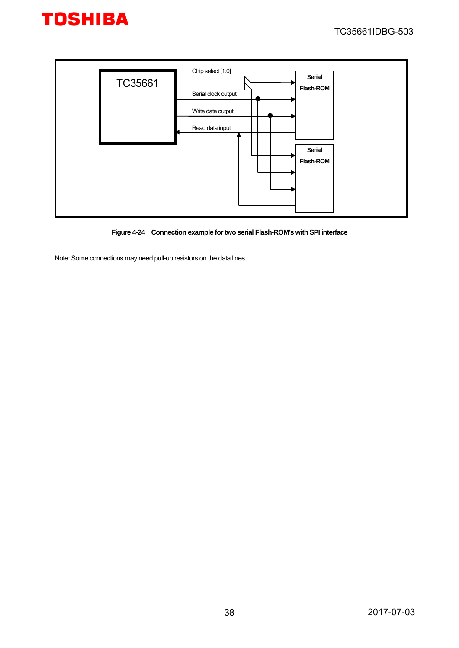



**Figure 4-24 Connection example for two serial Flash-ROM's with SPI interface**

<span id="page-37-0"></span>Note: Some connections may need pull-up resistors on the data lines.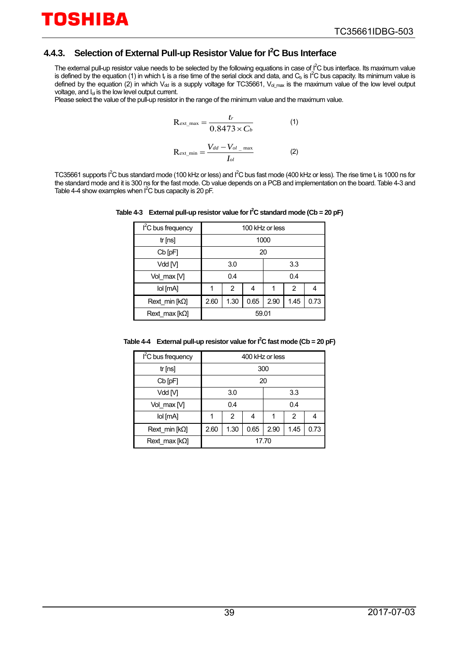#### <span id="page-38-0"></span>**4.4.3. Selection of External Pull-up Resistor Value for I2 C Bus Interface**

The external pull-up resistor value needs to be selected by the following equations in case of  $I^2C$  bus interface. Its maximum value is defined by the equation (1) in which t<sub>r</sub> is a rise time of the serial clock and data, and C<sub>b</sub> is I<sup>2</sup>C bus capacity. Its minimum value is defined by the equation (2) in which  $V_{dd}$  is a supply voltage for TC35661,  $V_{dd}$  max is the maximum value of the low level output voltage, and I<sub>ol</sub> is the low level output current.

Please select the value of the pull-up resistor in the range of the minimum value and the maximum value.

$$
R_{\text{ext\_max}} = \frac{t_r}{0.8473 \times C_b}
$$
 (1)  

$$
R_{\text{ext\_min}} = \frac{V_{dd} - V_{ol}}{I_{ol}}
$$
 (2)

<span id="page-38-1"></span>TC35661 supports I<sup>2</sup>C bus standard mode (100 kHz or less) and I<sup>2</sup>C bus fast mode (400 kHz or less). The rise time t<sub>r</sub> is 1000 ns for the standard mode and it is 300 ns for the fast mode. Cb value depends on a PCB and implementation on the board[. Table 4-3 a](#page-38-1)nd [Table 4-4](#page-38-2) show examples when  $I^2C$  bus capacity is 20 pF.

| I <sup>2</sup> C bus frequency | 100 kHz or less |      |      |      |      |      |
|--------------------------------|-----------------|------|------|------|------|------|
| tr[ns]                         | 1000            |      |      |      |      |      |
| $Cb$ $pF$                      | 20              |      |      |      |      |      |
| Vdd [V]                        |                 | 3.0  |      | 3.3  |      |      |
| Vol max M                      | 0.4             |      |      | 0.4  |      |      |
| lol [mA]                       |                 | 2    | 4    |      | 2    | 4    |
| Rext min $[k\Omega]$           | 2.60            | 1.30 | 0.65 | 2.90 | 1.45 | 0.73 |
| Rext max $[k\Omega]$           | 59.01           |      |      |      |      |      |

Table 4-3 External pull-up resistor value for  $I^2C$  standard mode (Cb = 20 pF)

<span id="page-38-2"></span>**Table 4-4 External pull-up resistor value for I2 C fast mode (Cb = 20 pF)**

| I <sup>2</sup> C bus frequency | 400 kHz or less |                |      |      |      |      |
|--------------------------------|-----------------|----------------|------|------|------|------|
| tr[ns]                         | 300             |                |      |      |      |      |
| $Cb$ $[pF]$                    | 20              |                |      |      |      |      |
| Vdd [V]                        | 3.0             |                | 3.3  |      |      |      |
| Vol max [V]                    | 0.4             |                |      | 0.4  |      |      |
| lol [mA]                       | 1               | $\overline{2}$ | 4    |      | 2    | 4    |
| Rext min $[k\Omega]$           | 2.60            | 1.30           | 0.65 | 2.90 | 1.45 | 0.73 |
| Rext max $[k\Omega]$           | 17.70           |                |      |      |      |      |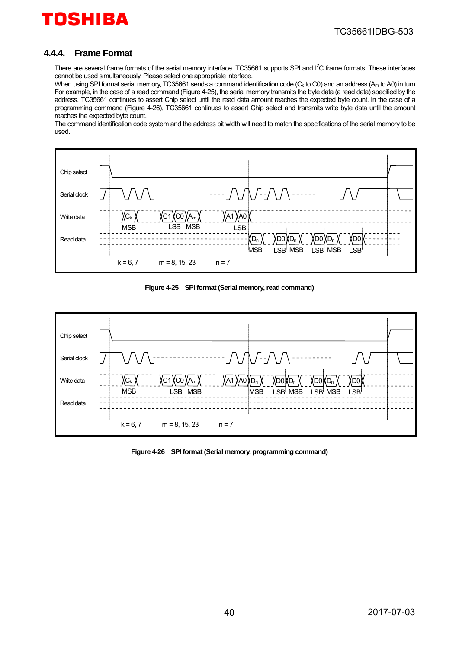#### <span id="page-39-0"></span>**4.4.4. Frame Format**

There are several frame formats of the serial memory interface. TC35661 supports SPI and I<sup>2</sup>C frame formats. These interfaces cannot be used simultaneously. Please select one appropriate interface.

When using SPI format serial memory, TC35661 sends a command identification code (C<sub>k</sub> to C0) and an address (A<sub>m</sub> to A0) in turn. For example, in the case of a read command [\(Figure 4-25\)](#page-39-1), the serial memory transmits the byte data (a read data) specified by the address. TC35661 continues to assert Chip select until the read data amount reaches the expected byte count. In the case of a programming command [\(Figure 4-26\)](#page-39-2), TC35661 continues to assert Chip select and transmits write byte data until the amount reaches the expected byte count.

The command identification code system and the address bit width will need to match the specifications of the serial memory to be used.



**Figure 4-25 SPI format (Serial memory, read command)** 

<span id="page-39-1"></span>

<span id="page-39-2"></span>**Figure 4-26 SPI format (Serial memory, programming command)**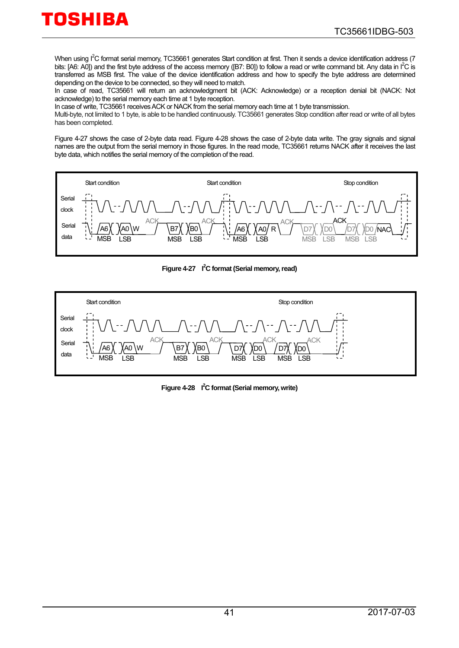When using I<sup>2</sup>C format serial memory, TC35661 generates Start condition at first. Then it sends a device identification address (7 bits: [A6: A0]) and the first byte address of the access memory ([B7: B0]) to follow a read or write command bit. Any data in  $I^2C$  is transferred as MSB first. The value of the device identification address and how to specify the byte address are determined depending on the device to be connected, so they will need to match.

In case of read, TC35661 will return an acknowledgment bit (ACK: Acknowledge) or a reception denial bit (NACK: Not acknowledge) to the serial memory each time at 1 byte reception.

In case of write, TC35661 receives ACK or NACK from the serial memory each time at 1 byte transmission.

Multi-byte, not limited to 1 byte, is able to be handled continuously. TC35661 generates Stop condition after read or write of all bytes has been completed.

[Figure 4-27](#page-40-0) shows the case of 2-byte data read. [Figure 4-28](#page-40-1) shows the case of 2-byte data write. The gray signals and signal names are the output from the serial memory in those figures. In the read mode, TC35661 returns NACK after it receives the last byte data, which notifies the serial memory of the completion of the read.



Figure 4-27 <sup>2</sup>C format (Serial memory, read)

<span id="page-40-1"></span><span id="page-40-0"></span>

Figure 4-28 I<sup>2</sup>C format (Serial memory, write)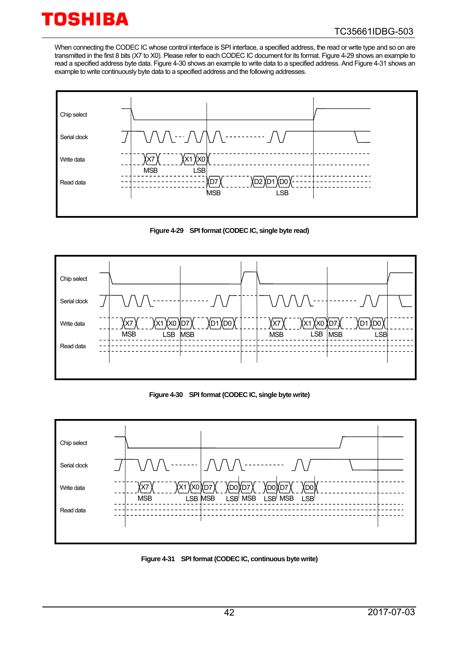When connecting the CODEC IC whose control interface is SPI interface, a specified address, the read or write type and so on are transmitted in the first 8 bits (X7 to X0). Please refer to each CODEC IC document for its format[. Figure 4-29](#page-41-0) shows an example to read a specified address byte data. [Figure 4-30](#page-41-1) shows an example to write data to a specified address. An[d Figure 4-31](#page-41-2) shows an example to write continuously byte data to a specified address and the following addresses.



**Figure 4-29 SPI format (CODEC IC, single byte read)**

<span id="page-41-0"></span>

**Figure 4-30 SPI format (CODEC IC, single byte write)**

<span id="page-41-1"></span>

<span id="page-41-2"></span>**Figure 4-31 SPI format (CODEC IC, continuous byte write)**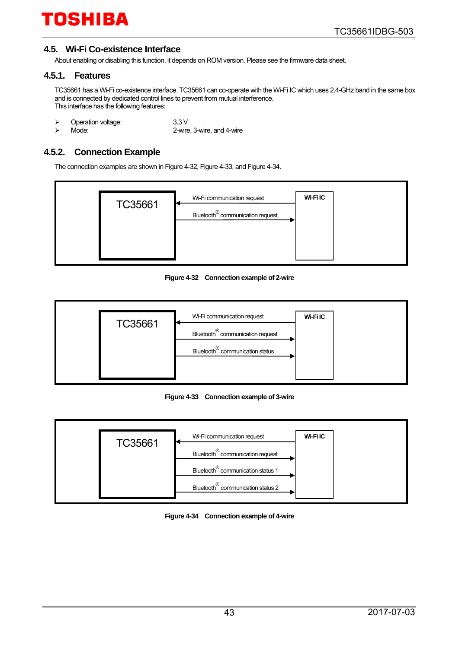#### <span id="page-42-0"></span>**4.5. Wi-Fi Co-existence Interface**

About enabling or disabling this function, it depends on ROM version. Please see the firmware data sheet.

#### <span id="page-42-1"></span>**4.5.1. Features**

TC35661 has a Wi-Fi co-existence interface. TC35661 can co-operate with the Wi-Fi IC which uses 2.4-GHz band in the same box and is connected by dedicated control lines to prevent from mutual interference. This interface has the following features:

- > Operation voltage: 3.3 V<br>> Mode: 2-wire
- 

2-wire, 3-wire, and 4-wire

#### <span id="page-42-2"></span>**4.5.2. Connection Example**

The connection examples are shown i[n Figure 4-32,](#page-42-3) [Figure 4-33,](#page-42-4) an[d Figure 4-34.](#page-42-5) 



**Figure 4-32 Connection example of 2-wire**

<span id="page-42-3"></span>

**Figure 4-33 Connection example of 3-wire**

<span id="page-42-5"></span><span id="page-42-4"></span>

**Figure 4-34 Connection example of 4-wire**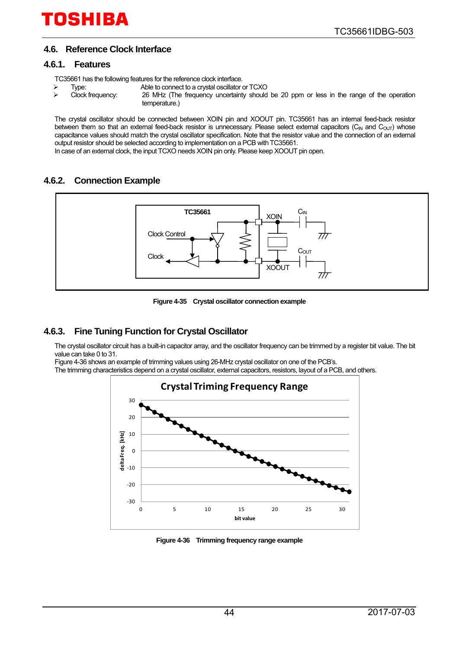#### <span id="page-43-0"></span>**4.6. Reference Clock Interface**

#### <span id="page-43-1"></span>**4.6.1. Features**

TC35661 has the following features for the reference clock interface.<br>
> Type: Able to connect to a crystal oscillator

- 
- Type: Able to connect to a crystal oscillator or TCXO<br>Clock frequency: 26 MHz (The frequency uncertainty should 26 MHz (The frequency uncertainty should be 20 ppm or less in the range of the operation temperature.)

The crystal oscillator should be connected between XOIN pin and XOOUT pin. TC35661 has an internal feed-back resistor between them so that an external feed-back resistor is unnecessary. Please select external capacitors (C<sub>IN</sub> and C<sub>OUT</sub>) whose capacitance values should match the crystal oscillator specification. Note that the resistor value and the connection of an external output resistor should be selected according to implementation on a PCB with TC35661. In case of an external clock, the input TCXO needs XOIN pin only. Please keep XOOUT pin open.

#### <span id="page-43-2"></span>**4.6.2. Connection Example**



**Figure 4-35 Crystal oscillator connection example**

#### <span id="page-43-3"></span>**4.6.3. Fine Tuning Function for Crystal Oscillator**

The crystal oscillator circuit has a built-in capacitor array, and the oscillator frequency can be trimmed by a register bit value. The bit value can take 0 to 31.

[Figure 4-36](#page-43-4) shows an example of trimming values using 26-MHz crystal oscillator on one of the PCB's.

The trimming characteristics depend on a crystal oscillator, external capacitors, resistors, layout of a PCB, and others.



<span id="page-43-4"></span>**Figure 4-36 Trimming frequency range example**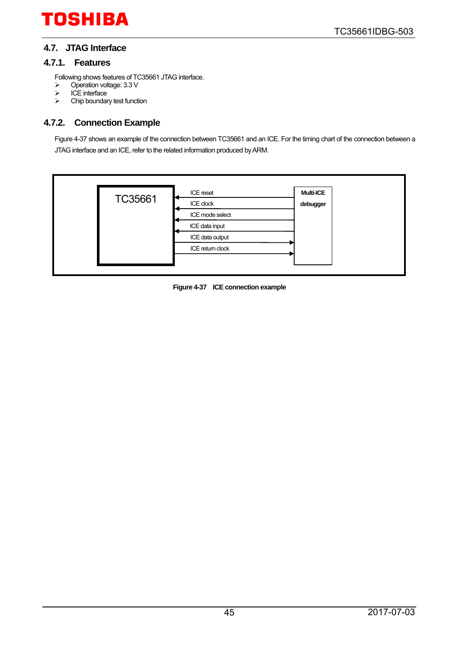#### <span id="page-44-0"></span>**4.7. JTAG Interface**

#### <span id="page-44-1"></span>**4.7.1. Features**

Following shows features of TC35661 JTAG interface.

- > Operation voltage: 3.3 V
- $\triangleright$  ICE interface
- $\triangleright$  Chip boundary test function

#### <span id="page-44-2"></span>**4.7.2. Connection Example**

[Figure 4-37](#page-44-3) shows an example of the connection between TC35661 and an ICE. For the timing chart of the connection between a JTAG interface and an ICE, refer to the related information produced by ARM.

<span id="page-44-3"></span>

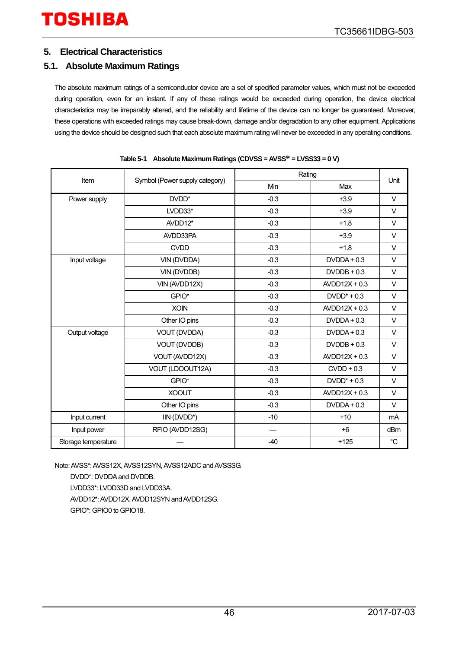#### <span id="page-45-0"></span>**5. Electrical Characteristics**

#### <span id="page-45-1"></span>**5.1. Absolute Maximum Ratings**

The absolute maximum ratings of a semiconductor device are a set of specified parameter values, which must not be exceeded during operation, even for an instant. If any of these ratings would be exceeded during operation, the device electrical characteristics may be irreparably altered, and the reliability and lifetime of the device can no longer be guaranteed. Moreover, these operations with exceeded ratings may cause break-down, damage and/or degradation to any other equipment. Applications using the device should be designed such that each absolute maximum rating will never be exceeded in any operating conditions.

| <b>Item</b>         |                                |        | Rating          |                 |  |  |
|---------------------|--------------------------------|--------|-----------------|-----------------|--|--|
|                     | Symbol (Power supply category) | Min    | Max             | Unit            |  |  |
| Power supply        | DVDD <sup>*</sup>              | $-0.3$ | $+3.9$          | $\vee$          |  |  |
|                     | LVDD33*                        | $-0.3$ | $+3.9$          | $\vee$          |  |  |
|                     | AVDD12*                        | $-0.3$ | $+1.8$          | V               |  |  |
|                     | AVDD33PA                       | $-0.3$ | $+3.9$          | $\vee$          |  |  |
|                     | <b>CVDD</b>                    | $-0.3$ | $+1.8$          | $\vee$          |  |  |
| Input voltage       | VIN (DVDDA)                    | $-0.3$ | $DVDDA + 0.3$   | $\vee$          |  |  |
|                     | VIN (DVDDB)                    | $-0.3$ | $DVDDB + 0.3$   | $\vee$          |  |  |
|                     | VIN (AVDD12X)                  | $-0.3$ | $AVDD12X + 0.3$ | $\vee$          |  |  |
|                     | GPIO*                          | $-0.3$ | $DVDD^* + 0.3$  | $\vee$          |  |  |
|                     | <b>XOIN</b>                    | $-0.3$ | $AVDD12X + 0.3$ | $\vee$          |  |  |
|                     | Other IO pins                  | $-0.3$ | $DVDDA + 0.3$   | $\vee$          |  |  |
| Output voltage      | VOUT (DVDDA)                   | $-0.3$ | $DVDDA + 0.3$   | $\vee$          |  |  |
|                     | VOUT (DVDDB)                   | $-0.3$ | $DVDDB + 0.3$   | $\vee$          |  |  |
|                     | VOUT (AVDD12X)                 | $-0.3$ | $AVDD12X + 0.3$ | $\vee$          |  |  |
|                     | VOUT (LDOOUT12A)               | $-0.3$ | $CVDD + 0.3$    | $\vee$          |  |  |
|                     | GPIO*                          | $-0.3$ | $DVDD^* + 0.3$  | $\vee$          |  |  |
|                     | <b>XOOUT</b>                   | $-0.3$ | $AVDD12X + 0.3$ | $\vee$          |  |  |
|                     | Other IO pins                  | $-0.3$ | $DVDDA + 0.3$   | $\vee$          |  |  |
| Input current       | IIN (DVDD*)                    | $-10$  | $+10$           | mA              |  |  |
| Input power         | RFIO (AVDD12SG)                |        | $+6$            | dB <sub>m</sub> |  |  |
| Storage temperature |                                | $-40$  | $+125$          | $^{\circ}C$     |  |  |

|  |  |  | Table 5-1 Absolute Maximum Ratings (CDVSS = AVSS* = LVSS33 = 0 V) |
|--|--|--|-------------------------------------------------------------------|
|--|--|--|-------------------------------------------------------------------|

Note: AVSS\*: AVSS12X, AVSS12SYN, AVSS12ADC and AVSSSG.

DVDD\*: DVDDA and DVDDB. LVDD33\*: LVDD33D and LVDD33A. AVDD12\*: AVDD12X, AVDD12SYN and AVDD12SG. GPIO\*: GPIO0 to GPIO18.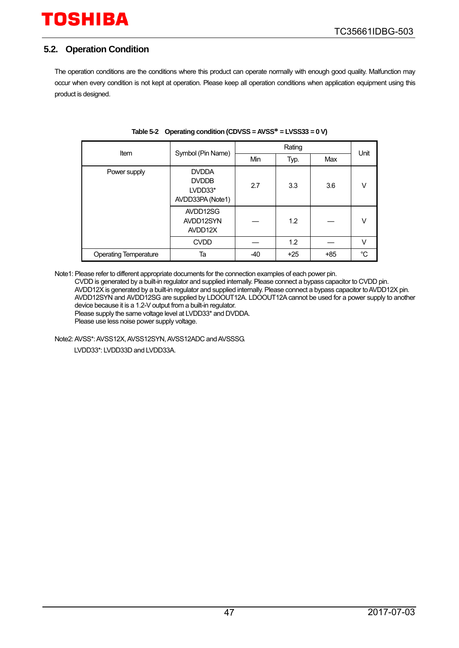#### <span id="page-46-0"></span>**5.2. Operation Condition**

The operation conditions are the conditions where this product can operate normally with enough good quality. Malfunction may occur when every condition is not kept at operation. Please keep all operation conditions when application equipment using this product is designed.

| Item                         | Symbol (Pin Name)                                           |     | Unit  |       |    |
|------------------------------|-------------------------------------------------------------|-----|-------|-------|----|
|                              |                                                             | Min | Typ.  | Max   |    |
| Power supply                 | <b>DVDDA</b><br><b>DVDDB</b><br>LVDD33*<br>AVDD33PA (Note1) | 2.7 | 3.3   | 3.6   | V  |
|                              | AVDD12SG<br>AVDD12SYN<br>AVDD12X                            |     | 1.2   |       | V  |
|                              | <b>CVDD</b>                                                 |     | 1.2   |       | V  |
| <b>Operating Temperature</b> | Ta                                                          | -40 | $+25$ | $+85$ | °C |

#### **Table 5-2 Operating condition (CDVSS = AVSS\* = LVSS33 = 0 V)**

Note1: Please refer to different appropriate documents for the connection examples of each power pin.

CVDD is generated by a built-in regulator and supplied internally. Please connect a bypass capacitor to CVDD pin. AVDD12X is generated by a built-in regulator and supplied internally. Please connect a bypass capacitor to AVDD12X pin. AVDD12SYN and AVDD12SG are supplied by LDOOUT12A. LDOOUT12A cannot be used for a power supply to another device because it is a 1.2-V output from a built-in regulator. Please supply the same voltage level at LVDD33\* and DVDDA.

Please use less noise power supply voltage.

Note2: AVSS\*: AVSS12X, AVSS12SYN, AVSS12ADC and AVSSSG.

LVDD33\*: LVDD33D and LVDD33A.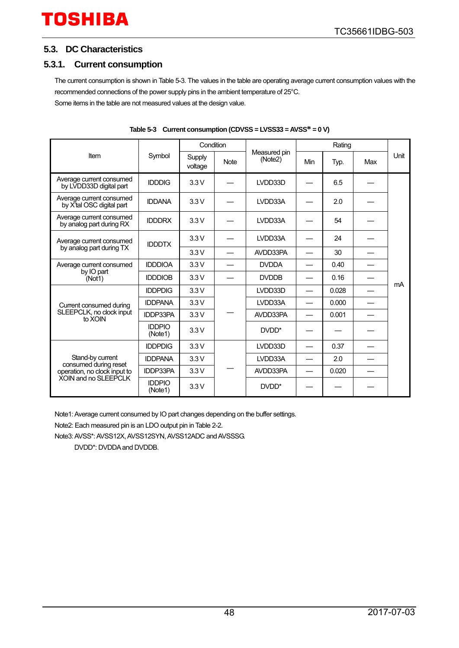#### <span id="page-47-0"></span>**5.3. DC Characteristics**

#### <span id="page-47-1"></span>**5.3.1. Current consumption**

The current consumption is shown i[n Table 5-3.](#page-47-2) The values in the table are operating average current consumption values with the recommended connections of the power supply pins in the ambient temperature of 25°C. Some items in the table are not measured values at the design value.

<span id="page-47-2"></span>

|                                                                                                                                                                                                                                                                                                                                                                                                         |                          | Condition         |             |                         |     | Rating |     |      |
|---------------------------------------------------------------------------------------------------------------------------------------------------------------------------------------------------------------------------------------------------------------------------------------------------------------------------------------------------------------------------------------------------------|--------------------------|-------------------|-------------|-------------------------|-----|--------|-----|------|
| Item<br>Average current consumed<br>by LVDD33D digital part<br>Average current consumed<br>by X'tal OSC digital part<br>Average current consumed<br>by analog part during RX<br>Average current consumed<br>by analog part during TX<br>Average current consumed<br>by IO part<br>(Not1)<br>Current consumed during<br>SLEEPCLK, no clock input<br>to XOIN<br>Stand-by current<br>consumed during reset | Symbol                   | Supply<br>voltage | <b>Note</b> | Measured pin<br>(Note2) | Min | Typ.   | Max | Unit |
|                                                                                                                                                                                                                                                                                                                                                                                                         | <b>IDDDIG</b>            | 3.3V              |             | LVDD33D                 |     | 6.5    |     |      |
|                                                                                                                                                                                                                                                                                                                                                                                                         | <b>IDDANA</b>            | 3.3V              |             | LVDD33A                 |     | 2.0    |     |      |
|                                                                                                                                                                                                                                                                                                                                                                                                         | <b>IDDDRX</b>            | 3.3V              |             | LVDD33A                 |     | 54     |     |      |
|                                                                                                                                                                                                                                                                                                                                                                                                         | <b>IDDDTX</b>            | 3.3V              |             | LVDD33A                 |     | 24     |     |      |
|                                                                                                                                                                                                                                                                                                                                                                                                         |                          | 3.3V              |             | AVDD33PA                |     | 30     |     |      |
|                                                                                                                                                                                                                                                                                                                                                                                                         | <b>IDDDIOA</b>           | 3.3V              |             | <b>DVDDA</b>            |     | 0.40   |     |      |
|                                                                                                                                                                                                                                                                                                                                                                                                         | <b>IDDDIOB</b>           | 3.3V              |             | <b>DVDDB</b>            |     | 0.16   |     |      |
|                                                                                                                                                                                                                                                                                                                                                                                                         | <b>IDDPDIG</b>           | 3.3V              |             | LVDD33D                 |     | 0.028  |     | mA   |
|                                                                                                                                                                                                                                                                                                                                                                                                         | <b>IDDPANA</b>           | 3.3V              |             | LVDD33A                 |     | 0.000  |     |      |
|                                                                                                                                                                                                                                                                                                                                                                                                         | <b>IDDP33PA</b>          | 3.3V              |             | AVDD33PA                |     | 0.001  |     |      |
|                                                                                                                                                                                                                                                                                                                                                                                                         | <b>IDDPIO</b><br>(Note1) | 3.3V              |             | DVDD <sup>*</sup>       |     |        |     |      |
|                                                                                                                                                                                                                                                                                                                                                                                                         | <b>IDDPDIG</b>           | 3.3V              |             | LVDD33D                 |     | 0.37   |     |      |
|                                                                                                                                                                                                                                                                                                                                                                                                         | <b>IDDPANA</b>           | 3.3V              |             | LVDD33A                 |     | 2.0    |     |      |
| operation, no clock input to<br>XOIN and no SLEEPCLK                                                                                                                                                                                                                                                                                                                                                    | <b>IDDP33PA</b>          | 3.3V              |             | AVDD33PA                |     | 0.020  |     |      |
|                                                                                                                                                                                                                                                                                                                                                                                                         | <b>IDDPIO</b><br>(Note1) | 3.3V              |             | DVDD*                   |     |        |     |      |

**Table 5-3 Current consumption (CDVSS = LVSS33 = AVSS\* = 0 V)**

Note1: Average current consumed by IO part changes depending on the buffer settings.

Note2: Each measured pin is an LDO output pin i[n Table 2-2.](#page-19-1) 

Note3: AVSS\*: AVSS12X, AVSS12SYN, AVSS12ADC and AVSSSG.

DVDD\*: DVDDA and DVDDB.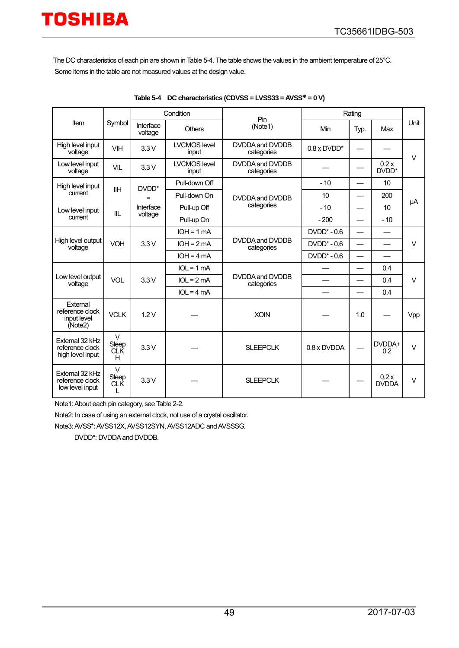The DC characteristics of each pin are shown i[n Table 5-4.](#page-48-0) The table shows the values in the ambient temperature of 25°C. Some items in the table are not measured values at the design value.

<span id="page-48-0"></span>

|                                                        |                                    |                      | Condition                    | Pin                           | Rating               |                          |                      |        |  |              |  |  |   |     |  |
|--------------------------------------------------------|------------------------------------|----------------------|------------------------------|-------------------------------|----------------------|--------------------------|----------------------|--------|--|--------------|--|--|---|-----|--|
| Item                                                   | Symbol                             | Interface<br>voltage | <b>Others</b>                | (Note1)                       | Min                  | Typ.                     | Max                  | Unit   |  |              |  |  |   |     |  |
| High level input<br>voltage                            | <b>VIH</b>                         | 3.3V                 | <b>LVCMOS level</b><br>input | DVDDA and DVDDB<br>categories | $0.8 \times D VDD^*$ |                          |                      | $\vee$ |  |              |  |  |   |     |  |
| Low level input<br>voltage                             | <b>VIL</b>                         | 3.3V                 | <b>LVCMOS level</b><br>input | DVDDA and DVDDB<br>categories |                      |                          | 0.2x<br>DVDD*        |        |  |              |  |  |   |     |  |
| High level input                                       | <b>IIH</b>                         | DVDD*                | Pull-down Off                |                               | $-10$                |                          | 10                   |        |  |              |  |  |   |     |  |
| current                                                |                                    | $=$                  | Pull-down On                 | DVDDA and DVDDB               | 10                   |                          | 200                  | μA     |  |              |  |  |   |     |  |
| Low level input                                        | IIL                                | Interface            | Pull-up Off                  | categories                    | $-10$                |                          | 10                   |        |  |              |  |  |   |     |  |
| current                                                |                                    | voltage              | Pull-up On                   |                               | $-200$               |                          | $-10$                |        |  |              |  |  |   |     |  |
|                                                        | <b>VOH</b><br>3.3V                 | $IOH = 1 mA$         |                              | $DVDD^* - 0.6$                |                      |                          |                      |        |  |              |  |  |   |     |  |
| High level output<br>voltage                           |                                    |                      | $IOH = 2mA$                  | DVDDA and DVDDB<br>categories | $DVDD*-0.6$          | $\overline{\phantom{0}}$ |                      | $\vee$ |  |              |  |  |   |     |  |
|                                                        |                                    | $IOH = 4 mA$         |                              | $DVDD^* - 0.6$                |                      | $\overline{\phantom{0}}$ |                      |        |  |              |  |  |   |     |  |
|                                                        | <b>VOL</b>                         | 3.3V                 |                              |                               |                      |                          |                      |        |  | $IOL = 1 mA$ |  |  | — | 0.4 |  |
| Low level output<br>voltage                            |                                    |                      | $IOL = 2mA$                  | DVDDA and DVDDB<br>categories |                      |                          | 0.4                  | $\vee$ |  |              |  |  |   |     |  |
|                                                        |                                    |                      | $IOL = 4 mA$                 |                               |                      |                          | 0.4                  |        |  |              |  |  |   |     |  |
| External<br>reference clock<br>input level<br>(Note2)  | <b>VCLK</b>                        | 1.2V                 |                              | <b>XOIN</b>                   |                      | 1.0                      |                      | Vpp    |  |              |  |  |   |     |  |
| External 32 kHz<br>reference clock<br>high level input | V<br>Sleep<br><b>CLK</b><br>H      | 3.3V                 |                              | <b>SLEEPCLK</b>               | $0.8 \times$ DVDDA   |                          | DVDDA+<br>0.2        | $\vee$ |  |              |  |  |   |     |  |
| External 32 kHz<br>reference clock<br>low level input  | $\vee$<br>Sleep<br><b>CLK</b><br>L | 3.3V                 |                              | <b>SLEEPCLK</b>               |                      |                          | 0.2x<br><b>DVDDA</b> | $\vee$ |  |              |  |  |   |     |  |

|  | Table 5-4 DC characteristics (CDVSS = LVSS33 = AVSS $*$ = 0 V) |
|--|----------------------------------------------------------------|
|--|----------------------------------------------------------------|

Note1: About each pin category, se[e Table 2-2.](#page-19-1)

Note2: In case of using an external clock, not use of a crystal oscillator.

Note3: AVSS\*: AVSS12X, AVSS12SYN, AVSS12ADC and AVSSSG.

DVDD\*: DVDDA and DVDDB.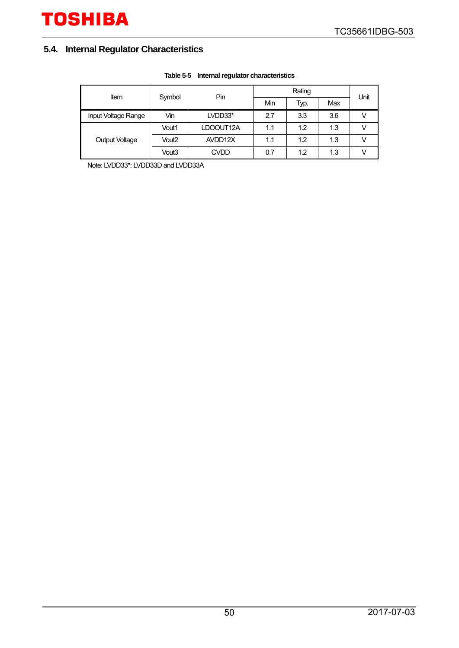### <span id="page-49-0"></span>**5.4. Internal Regulator Characteristics**

| Item                |                   | Pin<br>Symbol |     | Rating |     |      |  |
|---------------------|-------------------|---------------|-----|--------|-----|------|--|
|                     |                   |               | Min | Typ.   | Max | Unit |  |
| Input Voltage Range | Vin               | LVDD33*       | 2.7 | 3.3    | 3.6 |      |  |
|                     | Vout1             | LDOOUT12A     | 1.1 | 1.2    | 1.3 |      |  |
| Output Voltage      | Vout <sub>2</sub> | AVDD12X       | 1.1 | 1.2    | 1.3 |      |  |
|                     | Vout3             | <b>CVDD</b>   | 0.7 | 1.2    | 1.3 |      |  |

#### **Table 5-5 Internal regulator characteristics**

Note: LVDD33\*: LVDD33D and LVDD33A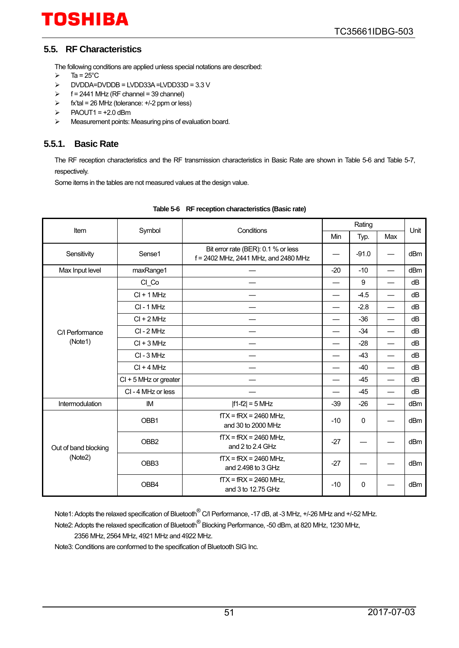#### <span id="page-50-0"></span>**5.5. RF Characteristics**

The following conditions are applied unless special notations are described:

- $\triangleright$  Ta = 25°C
- DVDDA=DVDDB = LVDD33A =LVDD33D = 3.3 V
- $\triangleright$  f = 2441 MHz (RF channel = 39 channel)
- $\triangleright$  fx'tal = 26 MHz (tolerance:  $+/-2$  ppm or less)
- $\triangleright$  PAOUT1 = +2.0 dBm
- > Measurement points: Measuring pins of evaluation board.

#### <span id="page-50-1"></span>**5.5.1. Basic Rate**

The RF reception characteristics and the RF transmission characteristics in Basic Rate are shown in [Table 5-6](#page-50-2) and [Table 5-7,](#page-51-0)  respectively.

Some items in the tables are not measured values at the design value.

<span id="page-50-2"></span>

| Item                 | Symbol                  | Conditions                                                                  |       | Rating  |                          | Unit |
|----------------------|-------------------------|-----------------------------------------------------------------------------|-------|---------|--------------------------|------|
|                      |                         |                                                                             | Min   | Typ.    | Max                      |      |
| Sensitivity          | Sense1                  | Bit error rate (BER): 0.1 % or less<br>f = 2402 MHz, 2441 MHz, and 2480 MHz |       | $-91.0$ |                          | dBm  |
| Max Input level      | maxRange1               |                                                                             | $-20$ | $-10$   | $\overline{\phantom{0}}$ | dBm  |
|                      | CI_Co                   |                                                                             |       | 9       | $\qquad \qquad$          | dB   |
|                      | $Cl + 1 MHz$            |                                                                             |       | $-4.5$  |                          | dB   |
|                      | CI-1 MHz                |                                                                             |       | $-2.8$  | $\overline{\phantom{0}}$ | dB   |
|                      | $Cl + 2 MHz$            |                                                                             |       | $-36$   |                          | dB   |
| C/I Performance      | $CI - 2 MHz$            |                                                                             |       | $-34$   |                          | dB   |
| (Note1)              | $CI + 3 MHz$            |                                                                             |       | $-28$   | $\overline{\phantom{0}}$ | dB   |
|                      | CI-3 MHz                |                                                                             |       | $-43$   |                          | dB   |
|                      | $Cl + 4 MHz$            |                                                                             |       | $-40$   |                          | dB   |
|                      | $Cl + 5$ MHz or greater |                                                                             |       | $-45$   |                          | dB   |
|                      | CI-4 MHz or less        |                                                                             |       | $-45$   |                          | dB   |
| Intermodulation      | IM                      | $ f1-f2  = 5$ MHz                                                           | $-39$ | $-26$   |                          | dBm  |
|                      | OBB1                    | $fTX = fRX = 2460$ MHz,<br>and 30 to 2000 MHz                               | $-10$ | 0       |                          | dBm  |
| Out of band blocking | OBB <sub>2</sub>        | $fTX = fRX = 2460 MHz$ .<br>and 2 to 2.4 GHz                                | $-27$ |         |                          | dBm  |
| (Note2)              | OBB <sub>3</sub>        | $fTX = fRX = 2460$ MHz,<br>and 2.498 to 3 GHz                               | $-27$ |         |                          | dBm  |
|                      | OBB4                    | $fTX = fRX = 2460$ MHz,<br>and 3 to 12.75 GHz                               | $-10$ | 0       |                          | dBm  |

#### **Table 5-6 RF reception characteristics (Basic rate)**

Note1: Adopts the relaxed specification of Bluetooth<sup>®</sup> C/I Performance, -17 dB, at -3 MHz, +/-26 MHz and +/-52 MHz.

Note2: Adopts the relaxed specification of Bluetooth® Blocking Performance, -50 dBm, at 820 MHz, 1230 MHz,

2356 MHz, 2564 MHz, 4921 MHz and 4922 MHz.

Note3: Conditions are conformed to the specification of Bluetooth SIG Inc.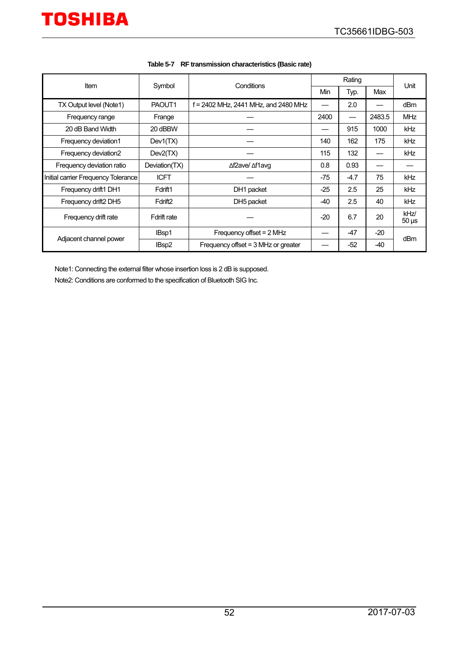<span id="page-51-0"></span>

| <b>Item</b>                         | Symbol              | Conditions                             | Rating |        |        | Unit                          |  |
|-------------------------------------|---------------------|----------------------------------------|--------|--------|--------|-------------------------------|--|
|                                     |                     |                                        | Min    | Typ.   | Max    |                               |  |
| TX Output level (Note1)             | PAOUT1              | $f = 2402$ MHz, 2441 MHz, and 2480 MHz |        | 2.0    |        | dBm                           |  |
| Frequency range                     | Frange              |                                        | 2400   |        | 2483.5 | <b>MHz</b>                    |  |
| 20 dB Band Width                    | 20 dBBW             |                                        |        | 915    | 1000   | kHz                           |  |
| Frequency deviation1                | Dev1(TX)            |                                        | 140    | 162    | 175    | kHz                           |  |
| Frequency deviation2                | Dev2(TX)            |                                        | 115    | 132    |        | <b>kHz</b>                    |  |
| Frequency deviation ratio           | Deviation(TX)       | ∆f2ave/ ∆f1avq                         | 0.8    | 0.93   |        |                               |  |
| Initial carrier Frequency Tolerance | <b>ICFT</b>         |                                        | -75    | $-4.7$ | 75     | kHz                           |  |
| Frequency drift1 DH1                | Fdrift1             | DH1 packet                             | $-25$  | 2.5    | 25     | <b>kHz</b>                    |  |
| Frequency drift2 DH5                | Fdrift <sub>2</sub> | DH5 packet                             | $-40$  | 2.5    | 40     | <b>kHz</b>                    |  |
| Frequency drift rate                | Fdrift rate         |                                        | $-20$  | 6.7    | 20     | kHz/<br>$50 \,\mathrm{\mu s}$ |  |
| Adjacent channel power              | IBsp1               | Frequency offset = 2 MHz               |        | -47    | $-20$  | dBm                           |  |
|                                     | IBsp2               | Frequency offset = $3$ MHz or greater  |        | $-52$  | -40    |                               |  |

| Table 5-7 RF transmission characteristics (Basic rate) |
|--------------------------------------------------------|
|                                                        |

Note1: Connecting the external filter whose insertion loss is 2 dB is supposed. Note2: Conditions are conformed to the specification of Bluetooth SIG Inc.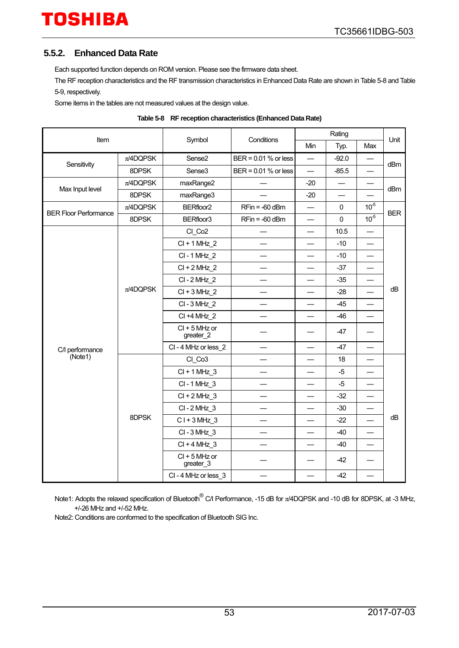#### <span id="page-52-0"></span>**5.5.2. Enhanced Data Rate**

Each supported function depends on ROM version. Please see the firmware data sheet.

The RF reception characteristics and the RF transmission characteristics in Enhanced Data Rate are shown i[n Table 5-8](#page-52-1) an[d Table](#page-53-0)  [5-9,](#page-53-0) respectively.

Some items in the tables are not measured values at the design value.

<span id="page-52-1"></span>

|                              |               |                                                                                                                                                                                                                                            |                          |                          | Rating                                                                                                                                                                   |                          |    |
|------------------------------|---------------|--------------------------------------------------------------------------------------------------------------------------------------------------------------------------------------------------------------------------------------------|--------------------------|--------------------------|--------------------------------------------------------------------------------------------------------------------------------------------------------------------------|--------------------------|----|
|                              | Item          |                                                                                                                                                                                                                                            |                          | Min                      | Typ.                                                                                                                                                                     | Max                      |    |
|                              | $\pi$ /4DQPSK | Sense <sub>2</sub>                                                                                                                                                                                                                         | BER = 0.01 % or less     | $\overline{\phantom{0}}$ | $-92.0$                                                                                                                                                                  |                          |    |
| Sensitivity                  | 8DPSK         | Sense <sub>3</sub>                                                                                                                                                                                                                         | BER = 0.01 % or less     |                          | $-85.5$                                                                                                                                                                  |                          |    |
| Max Input level              | $\pi$ /4DQPSK | maxRange2                                                                                                                                                                                                                                  |                          | $-20$                    |                                                                                                                                                                          | —                        |    |
|                              | 8DPSK         | maxRange3                                                                                                                                                                                                                                  |                          | $-20$                    |                                                                                                                                                                          |                          |    |
| <b>BER Floor Performance</b> | $\pi$ /4DQPSK | BERfloor <sub>2</sub>                                                                                                                                                                                                                      | $RFin = -60$ dBm         | $\overline{\phantom{0}}$ | 0                                                                                                                                                                        | $10^{5}$                 |    |
|                              | 8DPSK         | BERfloor3                                                                                                                                                                                                                                  | $RFin = -60$ dBm         |                          | $\mathbf 0$                                                                                                                                                              |                          |    |
|                              |               | CI_Co2                                                                                                                                                                                                                                     |                          |                          | 10.5                                                                                                                                                                     | $\overline{\phantom{0}}$ |    |
|                              |               | $Cl + 1 MHz$ 2                                                                                                                                                                                                                             |                          |                          | $-10$                                                                                                                                                                    |                          |    |
|                              |               | CI-1 MHz_2                                                                                                                                                                                                                                 |                          |                          | $-10$                                                                                                                                                                    |                          |    |
|                              |               | $Cl + 2 MHz$ 2                                                                                                                                                                                                                             |                          |                          | $-37$                                                                                                                                                                    | $\overline{\phantom{0}}$ | dB |
|                              | $\pi$ /4DQPSK | CI-2 MHz 2                                                                                                                                                                                                                                 |                          |                          | $-35$                                                                                                                                                                    |                          |    |
|                              |               | $Cl + 3 MHz$ 2                                                                                                                                                                                                                             |                          |                          | $-28$                                                                                                                                                                    |                          |    |
|                              |               | CI-3 MHz 2                                                                                                                                                                                                                                 |                          |                          | $-45$                                                                                                                                                                    | $\equiv$                 |    |
|                              |               | CI +4 MHz 2                                                                                                                                                                                                                                | $\overline{\phantom{0}}$ | $\overline{\phantom{0}}$ | $-46$                                                                                                                                                                    | $\overline{\phantom{0}}$ |    |
|                              |               | $Cl + 5$ MHz or<br>greater_2                                                                                                                                                                                                               |                          |                          | $-47$                                                                                                                                                                    |                          |    |
| C/I performance              |               | CI-4 MHz or less_2                                                                                                                                                                                                                         | $\overline{\phantom{0}}$ | $\overline{\phantom{0}}$ | $10^{-5}$<br>$-47$<br>$\overline{\phantom{0}}$<br>18<br>$-5$<br>-5<br>$-32$<br>$-30$<br>dB<br>$-22$<br>$-40$<br>—<br>$-40$<br>$\overline{\phantom{0}}$<br>$-42$<br>$-42$ |                          |    |
| (Note1)                      |               | Symbol<br>Conditions<br>Unit<br>dBm<br>dBm<br><b>BER</b><br>CI Co3<br>$Cl + 1 MHz_3$<br>CI-1 MHz 3<br>$Cl + 2 MHz$ 3<br>CI-2 MHz 3<br>$CI + 3 MHz$ 3<br>CI-3 MHz_3<br>$Cl + 4 MHz$ 3<br>$Cl + 5$ MHz or<br>greater_3<br>CI-4 MHz or less 3 |                          |                          |                                                                                                                                                                          |                          |    |
|                              |               |                                                                                                                                                                                                                                            |                          |                          |                                                                                                                                                                          |                          |    |
|                              |               |                                                                                                                                                                                                                                            |                          |                          |                                                                                                                                                                          |                          |    |
|                              |               |                                                                                                                                                                                                                                            |                          |                          |                                                                                                                                                                          |                          |    |
|                              |               |                                                                                                                                                                                                                                            |                          |                          |                                                                                                                                                                          |                          |    |
|                              | 8DPSK         |                                                                                                                                                                                                                                            |                          |                          |                                                                                                                                                                          |                          |    |
|                              |               |                                                                                                                                                                                                                                            |                          |                          |                                                                                                                                                                          |                          |    |
|                              |               |                                                                                                                                                                                                                                            |                          |                          |                                                                                                                                                                          |                          |    |
|                              |               |                                                                                                                                                                                                                                            |                          |                          |                                                                                                                                                                          |                          |    |
|                              |               |                                                                                                                                                                                                                                            |                          |                          |                                                                                                                                                                          |                          |    |

|  | Table 5-8 RF reception characteristics (Enhanced Data Rate) |
|--|-------------------------------------------------------------|
|--|-------------------------------------------------------------|

Note1: Adopts the relaxed specification of Bluetooth<sup>®</sup> C/I Performance, -15 dB for π/4DQPSK and -10 dB for 8DPSK, at -3 MHz, +/-26 MHz and +/-52 MHz.

Note2: Conditions are conformed to the specification of Bluetooth SIG Inc.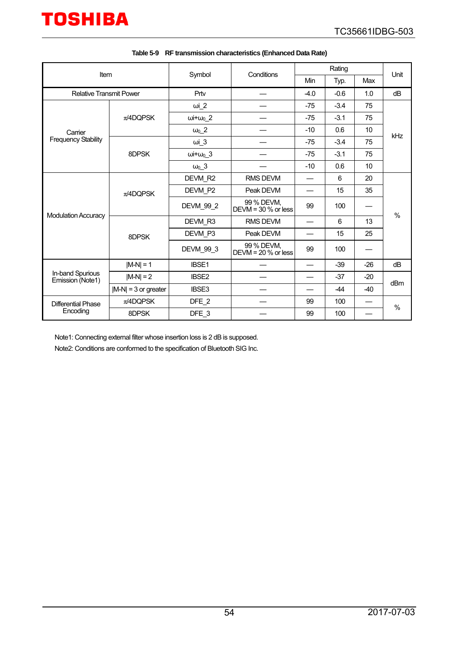<span id="page-53-0"></span>

| Item                                 |                        |                          | Conditions                         |                                                                                                                                             | Unit   |       |     |
|--------------------------------------|------------------------|--------------------------|------------------------------------|---------------------------------------------------------------------------------------------------------------------------------------------|--------|-------|-----|
|                                      |                        | Symbol                   |                                    | Min                                                                                                                                         | Typ.   | Max   |     |
| <b>Relative Transmit Power</b>       |                        | $-0.6$<br>Prtv<br>$-4.0$ |                                    | 1.0                                                                                                                                         | dB     |       |     |
|                                      |                        | $\omega$ i_2             |                                    | $-75$                                                                                                                                       | $-3.4$ | 75    |     |
|                                      | $\pi$ /4DQPSK          | $\omega + \omega_0$ 2    |                                    | $-75$                                                                                                                                       | $-3.1$ | 75    |     |
| Carrier                              |                        | $\omega_0$ 2             |                                    | $-10$                                                                                                                                       | 0.6    | 10    |     |
| <b>Frequency Stability</b>           |                        | $\omega i$ 3             |                                    | kHz<br>$-3.4$<br>$-75$<br>75<br>$-3.1$<br>$-75$<br>75<br>$-10$<br>0.6<br>10<br>20<br>6<br>35<br>15<br>99<br>100<br>$\frac{0}{0}$<br>6<br>13 |        |       |     |
|                                      | 8DPSK                  | $\omega i + \omega_0$ 3  |                                    |                                                                                                                                             |        |       |     |
|                                      |                        | $\omega_0$ _3            |                                    |                                                                                                                                             |        |       |     |
|                                      | $\pi$ /4DQPSK          | DEVM R2                  | RMS DEVM                           |                                                                                                                                             |        |       |     |
|                                      |                        | DEVM P2                  | Peak DEVM                          |                                                                                                                                             |        |       |     |
| <b>Modulation Accuracy</b>           |                        | DEVM_99_2                | 99 % DEVM.<br>DEVM = $30%$ or less |                                                                                                                                             |        |       |     |
|                                      |                        | DEVM R3                  | <b>RMS DEVM</b>                    |                                                                                                                                             |        |       |     |
|                                      | 8DPSK                  | DEVM P3                  | Peak DEVM                          |                                                                                                                                             | 15     | 25    |     |
|                                      |                        | DEVM_99_3                | 99 % DEVM,<br>DEVM = $20%$ or less | 99                                                                                                                                          | 100    |       |     |
|                                      | $ M-N  = 1$            | IBSE1                    |                                    |                                                                                                                                             | $-39$  | $-26$ | dB  |
| In-band Spurious<br>Emission (Note1) | $ M-N  = 2$            | <b>IBSE2</b>             |                                    |                                                                                                                                             | $-37$  | $-20$ | dBm |
|                                      | $ M-N  = 3$ or greater | IBSE3                    |                                    |                                                                                                                                             | $-44$  | $-40$ |     |
| <b>Differential Phase</b>            | $\pi$ /4DQPSK          | DFE_2                    |                                    | 99                                                                                                                                          | 100    |       | %   |
| Encoding                             | 8DPSK                  | DFE_3                    |                                    | 99                                                                                                                                          | 100    |       |     |

| Table 5-9 RF transmission characteristics (Enhanced Data Rate) |  |  |
|----------------------------------------------------------------|--|--|
|                                                                |  |  |

Note1: Connecting external filter whose insertion loss is 2 dB is supposed.

Note2: Conditions are conformed to the specification of Bluetooth SIG Inc.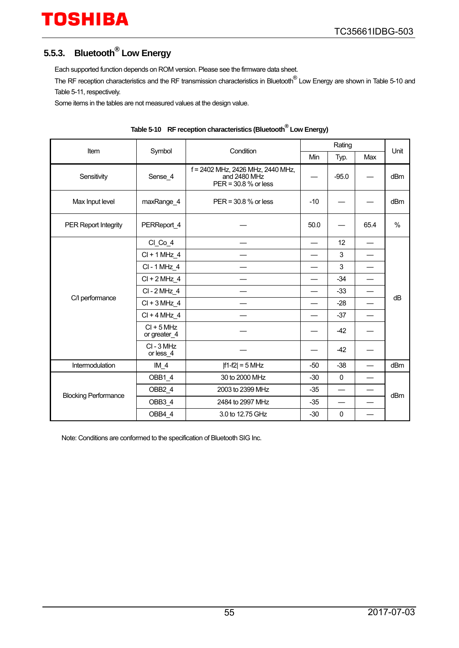### <span id="page-54-0"></span>**5.5.3. Bluetooth® Low Energy**

Each supported function depends on ROM version. Please see the firmware data sheet.

The RF reception characteristics and the RF transmission characteristics in Bluetooth® Low Energy are shown in [Table 5-10](#page-54-1) and [Table 5-11,](#page-55-0) respectively.

Some items in the tables are not measured values at the design value.

<span id="page-54-1"></span>

| Item                        | Symbol                       | Condition                                                                 |                    | Rating                   |      | Unit            |  |
|-----------------------------|------------------------------|---------------------------------------------------------------------------|--------------------|--------------------------|------|-----------------|--|
|                             |                              |                                                                           | Min<br>Max<br>Typ. |                          |      |                 |  |
| Sensitivity                 | Sense 4                      | f = 2402 MHz, 2426 MHz, 2440 MHz,<br>and 2480 MHz<br>PER = 30.8 % or less |                    | $-95.0$                  |      | dBm             |  |
| Max Input level             | maxRange_4                   | $PER = 30.8 %$ or less                                                    | $-10$              |                          |      | dB <sub>m</sub> |  |
| <b>PER Report Integrity</b> | PERReport 4                  |                                                                           | 50.0               |                          | 65.4 | %               |  |
|                             | $Cl$ $Co_4$                  |                                                                           |                    | 12                       |      |                 |  |
|                             | $Cl + 1 MHz_4$               |                                                                           |                    | 3                        |      |                 |  |
|                             | CI-1 MHz 4                   |                                                                           |                    | 3                        |      |                 |  |
|                             | $CI + 2 MHz_4$               |                                                                           |                    | $-34$                    |      |                 |  |
|                             | CI-2 MHz 4                   |                                                                           |                    | $-33$                    |      |                 |  |
| C/I performance             | $Cl + 3 MHz 4$               |                                                                           |                    | $-28$                    |      | dB              |  |
|                             | $Cl + 4 MHz 4$               |                                                                           |                    | $-37$                    |      |                 |  |
|                             | $CI + 5 MHz$<br>or greater_4 |                                                                           |                    | $-42$                    |      |                 |  |
|                             | CI-3 MHz<br>or less 4        |                                                                           |                    | $-42$                    |      |                 |  |
| Intermodulation             | $IM_4$                       | $ f1-f2  = 5 MHz$                                                         | $-50$              | $-38$                    |      | dBm             |  |
|                             | OBB1 4                       | 30 to 2000 MHz                                                            | $-30$              | $\mathbf 0$              |      |                 |  |
|                             | OBB2 4                       | 2003 to 2399 MHz                                                          | $-35$              | $\overline{\phantom{0}}$ |      | dB <sub>m</sub> |  |
| <b>Blocking Performance</b> | OBB3 4                       | 2484 to 2997 MHz                                                          | $-35$              |                          |      |                 |  |
|                             | OBB4 4                       | 3.0 to 12.75 GHz                                                          | $-30$              | $\mathbf 0$              |      |                 |  |

| Table 5-10 RF reception characteristics (Bluetooth DLow Energy) |
|-----------------------------------------------------------------|
|-----------------------------------------------------------------|

Note: Conditions are conformed to the specification of Bluetooth SIG Inc.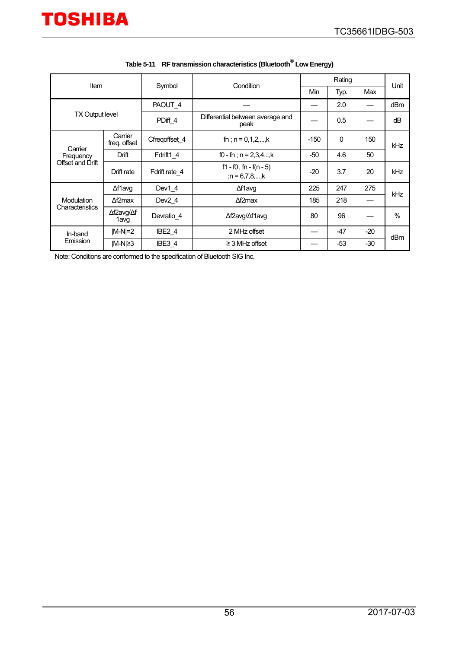<span id="page-55-0"></span>

| Item                   |                         |                    | Condition<br>Symbol                             |        | Rating |       |                 |
|------------------------|-------------------------|--------------------|-------------------------------------------------|--------|--------|-------|-----------------|
|                        |                         |                    |                                                 | Min    | Typ.   | Max   | Unit            |
| <b>TX Output level</b> |                         | PAOUT 4            |                                                 |        | 2.0    |       | dB <sub>m</sub> |
|                        |                         | PDiff 4            | Differential between average and<br>peak        |        | 0.5    |       | dB              |
|                        | Carrier<br>freg. offset | Cfreqoffset 4      | fn ; $n = 0, 1, 2, \dots, k$                    | $-150$ | 0      | 150   | kHz             |
| Carrier<br>Frequency   | Drift                   | Fdrift1 4          | f0 - fn; $n = 2,3,4$ ,k                         | $-50$  | 4.6    | 50    |                 |
| Offset and Drift       | Drift rate              | Fdrift rate 4      | $f1 - f0$ , fn - $f(n - 5)$<br>; $n = 6,7,8,,k$ | $-20$  | 3.7    | 20    | kHz             |
|                        | ∆f1avg                  | Dev1 4             | ∆f1avq                                          | 225    | 247    | 275   | kHz             |
| Modulation             | $\Delta f2$ max         | Dev <sub>2</sub> 4 | $\Delta f2$ max                                 | 185    | 218    |       |                 |
| Characteristics        | ∆f2avg/∆f<br>1avg       | Devratio 4         | ∆f2avg/∆f1avg                                   | 80     | 96     |       | $\%$            |
| In-band                | $ M-N =2$               | IBE <sub>2</sub> 4 | 2 MHz offset                                    |        | $-47$  | $-20$ | dBm             |
| Emission               | IM-NI≥3                 | IBE3 4             | $\geq$ 3 MHz offset                             |        | -53    | -30   |                 |

|  | Table 5-11 RF transmission characteristics (Bluetooth Low Energy) |
|--|-------------------------------------------------------------------|
|--|-------------------------------------------------------------------|

Note: Conditions are conformed to the specification of Bluetooth SIG Inc.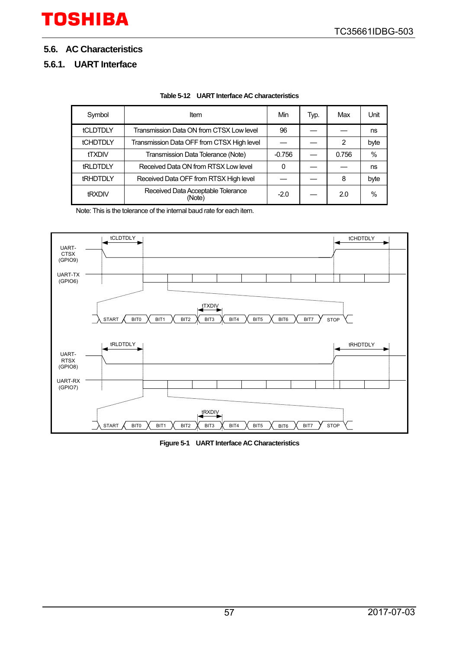#### <span id="page-56-0"></span>**5.6. AC Characteristics**

#### <span id="page-56-1"></span>**5.6.1. UART Interface**

| Table 5-12 UART Interface AC characteristics |
|----------------------------------------------|
|----------------------------------------------|

| Symbol          | ltem                                         | Min      | Typ. | Max   | Unit |
|-----------------|----------------------------------------------|----------|------|-------|------|
| <b>tCLDTDLY</b> | Transmission Data ON from CTSX Low level     | 96       |      |       | ns   |
| <b>tCHDTDLY</b> | Transmission Data OFF from CTSX High level   |          |      | 2     | byte |
| <b>tTXDIV</b>   | Transmission Data Tolerance (Note)           | $-0.756$ |      | 0.756 | $\%$ |
| <b>tRLDTDLY</b> | Received Data ON from RTSX Low level         | 0        |      |       | ns   |
| <b>tRHDTDLY</b> | Received Data OFF from RTSX High level       |          |      | 8     | byte |
| tRXDIV          | Received Data Acceptable Tolerance<br>(Note) | $-2.0$   |      | 2.0   | $\%$ |

Note: This is the tolerance of the internal baud rate for each item.



**Figure 5-1 UART Interface AC Characteristics**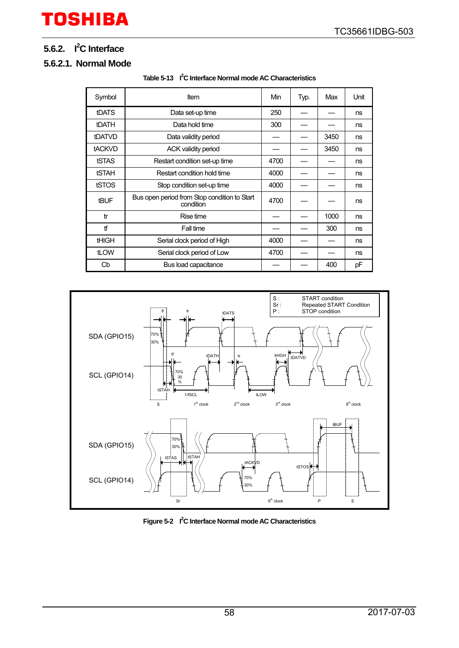#### <span id="page-57-0"></span>**5.6.2. I2 C Interface**

#### <span id="page-57-1"></span>**5.6.2.1. Normal Mode**

| Symbol        | Item                                                      | Min  | Typ. | Max  | Unit |
|---------------|-----------------------------------------------------------|------|------|------|------|
| <b>tDATS</b>  | Data set-up time                                          | 250  |      |      | ns   |
| <b>tDATH</b>  | Data hold time                                            | 300  |      |      | ns   |
| tDATVD        | Data validity period                                      |      |      | 3450 | ns   |
| <b>tACKVD</b> | <b>ACK validity period</b>                                |      |      | 3450 | ns   |
| tSTAS         | Restart condition set-up time                             | 4700 |      |      | ns   |
| <b>tSTAH</b>  | Restart condition hold time                               | 4000 |      |      | ns   |
| tSTOS         | Stop condition set-up time                                | 4000 |      |      | ns   |
| <b>tBUF</b>   | Bus open period from Stop condition to Start<br>condition | 4700 |      |      | ns   |
| tr            | Rise time                                                 |      |      | 1000 | ns   |
| tf            | Fall time                                                 |      |      | 300  | ns   |
| <b>tHIGH</b>  | Serial clock period of High                               | 4000 |      |      | ns   |
| tLOW          | Serial clock period of Low                                | 4700 |      |      | ns   |
| Cb            | Bus load capacitance                                      |      |      | 400  | рF   |





Figure 5-2 <sup>2</sup><sup>2</sup>C Interface Normal mode AC Characteristics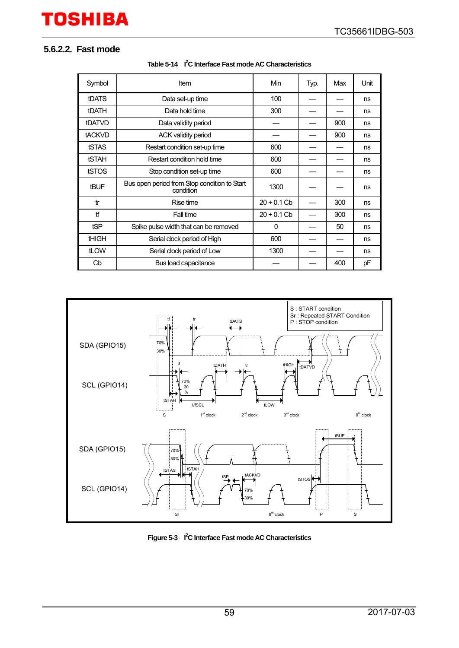#### <span id="page-58-0"></span>**5.6.2.2. Fast mode**

| Symbol        | Item                                                      | Min           | Typ. | Max | Unit |
|---------------|-----------------------------------------------------------|---------------|------|-----|------|
| <b>tDATS</b>  | Data set-up time                                          | 100           |      |     | ns   |
| <b>tDATH</b>  | Data hold time                                            | 300           |      |     | ns   |
| tDATVD        | Data validity period                                      |               |      | 900 | ns   |
| <b>tACKVD</b> | <b>ACK validity period</b>                                |               |      | 900 | ns   |
| tSTAS         | Restart condition set-up time                             | 600           |      |     | ns   |
| <b>tSTAH</b>  | Restart condition hold time                               | 600           |      |     | ns   |
| tSTOS         | Stop condition set-up time                                | 600           |      |     | ns   |
| <b>tBUF</b>   | Bus open period from Stop condition to Start<br>condition | 1300          |      |     | ns   |
| tr            | Rise time                                                 | $20 + 0.1$ Cb |      | 300 | ns   |
| tf            | Fall time                                                 | $20 + 0.1$ Cb |      | 300 | ns   |
| tSP           | Spike pulse width that can be removed                     | $\Omega$      |      | 50  | ns   |
| <b>tHIGH</b>  | Serial clock period of High                               | 600           |      |     | ns   |
| tLOW          | Serial clock period of Low                                | 1300          |      |     | ns   |
| Cb            | Bus load capacitance                                      |               |      | 400 | pF   |





Figure 5-3  $\vert$ <sup>2</sup>C Interface Fast mode AC Characteristics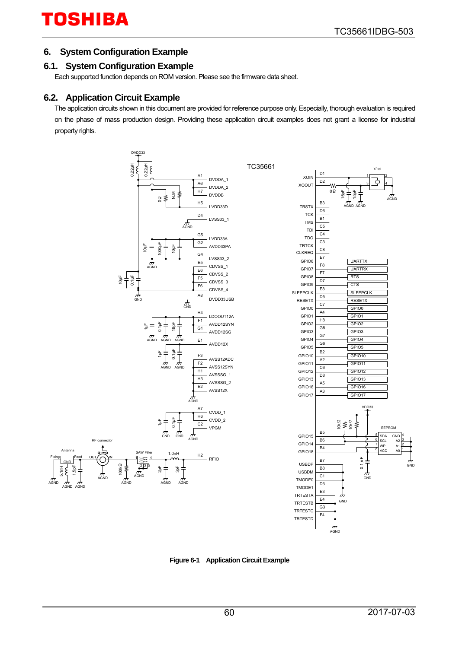#### <span id="page-59-0"></span>**6. System Configuration Example**

#### <span id="page-59-1"></span>**6.1. System Configuration Example**

Each supported function depends on ROM version. Please see the firmware data sheet.

#### <span id="page-59-2"></span>**6.2. Application Circuit Example**

The application circuits shown in this document are provided for reference purpose only. Especially, thorough evaluation is required on the phase of mass production design. Providing these application circuit examples does not grant a license for industrial property rights.



**Figure 6-1 Application Circuit Example**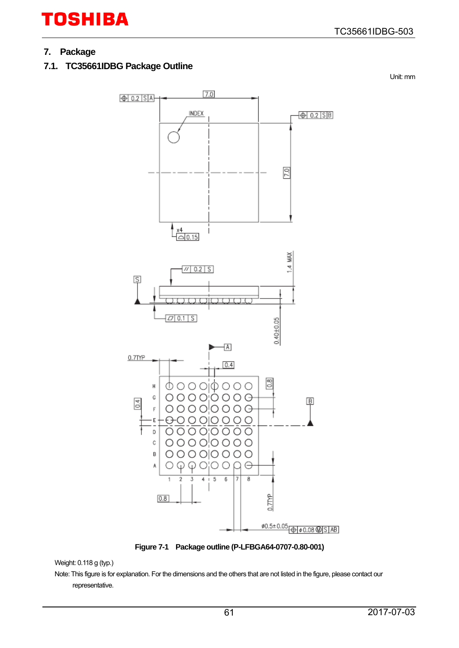### <span id="page-60-0"></span>**7. Package**

### <span id="page-60-1"></span>**7.1. TC35661IDBG Package Outline**

Unit: mm



**Figure 7-1 Package outline (P-LFBGA64-0707-0.80-001)** 

Note: This figure is for explanation. For the dimensions and the others that are not listed in the figure, please contact our representative.

Weight: 0.118 g (typ.)